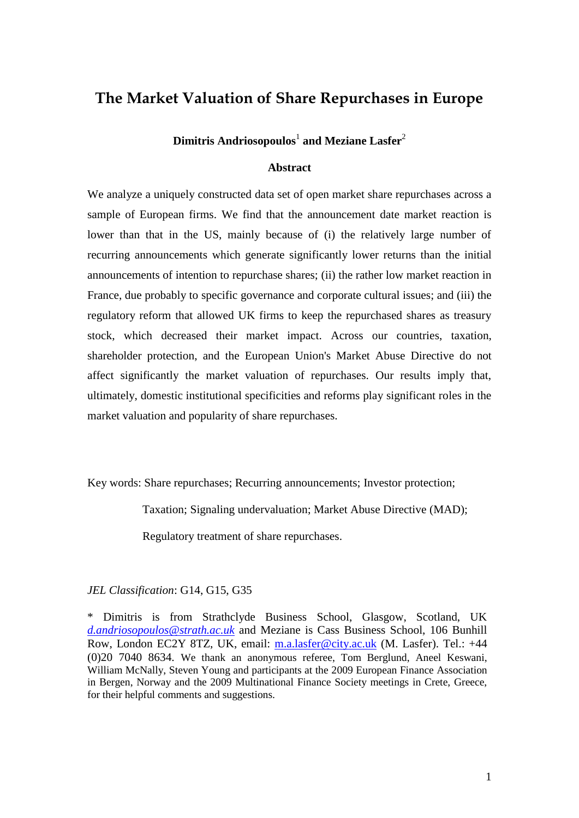# **The Market Valuation of Share Repurchases in Europe**

## **Dimitris Andriosopoulos**<sup>1</sup> **and Meziane Lasfer**<sup>2</sup>

### **Abstract**

We analyze a uniquely constructed data set of open market share repurchases across a sample of European firms. We find that the announcement date market reaction is lower than that in the US, mainly because of (i) the relatively large number of recurring announcements which generate significantly lower returns than the initial announcements of intention to repurchase shares; (ii) the rather low market reaction in France, due probably to specific governance and corporate cultural issues; and (iii) the regulatory reform that allowed UK firms to keep the repurchased shares as treasury stock, which decreased their market impact. Across our countries, taxation, shareholder protection, and the European Union's Market Abuse Directive do not affect significantly the market valuation of repurchases. Our results imply that, ultimately, domestic institutional specificities and reforms play significant roles in the market valuation and popularity of share repurchases.

Key words: Share repurchases; Recurring announcements; Investor protection;

Taxation; Signaling undervaluation; Market Abuse Directive (MAD);

Regulatory treatment of share repurchases.

### *JEL Classification*: G14, G15, G35

<sup>\*</sup> Dimitris is from Strathclyde Business School, Glasgow, Scotland, UK *[d.andriosopoulos@strath.ac.uk](mailto:d.andriosopoulos@strath.ac.uk)* and Meziane is Cass Business School, 106 Bunhill Row, London EC2Y 8TZ, UK, email: [m.a.lasfer@city.ac.uk](mailto:m.a.lasfer@city.ac.uk) (M. Lasfer). Tel.: +44 (0)20 7040 8634. We thank an anonymous referee, Tom Berglund, Aneel Keswani, William McNally, Steven Young and participants at the 2009 European Finance Association in Bergen, Norway and the 2009 Multinational Finance Society meetings in Crete, Greece, for their helpful comments and suggestions.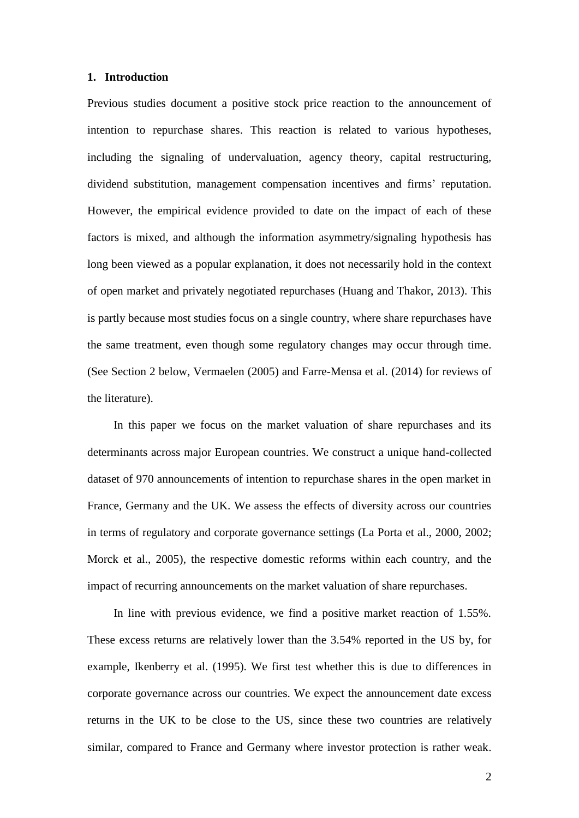### **1. Introduction**

Previous studies document a positive stock price reaction to the announcement of intention to repurchase shares. This reaction is related to various hypotheses, including the signaling of undervaluation, agency theory, capital restructuring, dividend substitution, management compensation incentives and firms' reputation. However, the empirical evidence provided to date on the impact of each of these factors is mixed, and although the information asymmetry/signaling hypothesis has long been viewed as a popular explanation, it does not necessarily hold in the context of open market and privately negotiated repurchases (Huang and Thakor, 2013). This is partly because most studies focus on a single country, where share repurchases have the same treatment, even though some regulatory changes may occur through time. (See Section 2 below, Vermaelen (2005) and Farre-Mensa et al. (2014) for reviews of the literature).

In this paper we focus on the market valuation of share repurchases and its determinants across major European countries. We construct a unique hand-collected dataset of 970 announcements of intention to repurchase shares in the open market in France, Germany and the UK. We assess the effects of diversity across our countries in terms of regulatory and corporate governance settings (La Porta et al., 2000, 2002; Morck et al., 2005), the respective domestic reforms within each country, and the impact of recurring announcements on the market valuation of share repurchases.

In line with previous evidence, we find a positive market reaction of 1.55%. These excess returns are relatively lower than the 3.54% reported in the US by, for example, Ikenberry et al. (1995). We first test whether this is due to differences in corporate governance across our countries. We expect the announcement date excess returns in the UK to be close to the US, since these two countries are relatively similar, compared to France and Germany where investor protection is rather weak.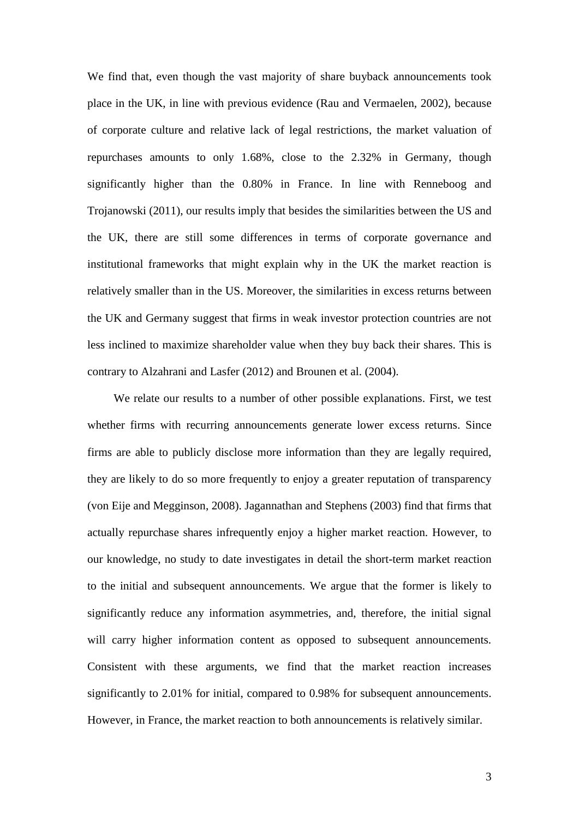We find that, even though the vast majority of share buyback announcements took place in the UK, in line with previous evidence (Rau and Vermaelen, 2002), because of corporate culture and relative lack of legal restrictions, the market valuation of repurchases amounts to only 1.68%, close to the 2.32% in Germany, though significantly higher than the 0.80% in France. In line with Renneboog and Trojanowski (2011), our results imply that besides the similarities between the US and the UK, there are still some differences in terms of corporate governance and institutional frameworks that might explain why in the UK the market reaction is relatively smaller than in the US. Moreover, the similarities in excess returns between the UK and Germany suggest that firms in weak investor protection countries are not less inclined to maximize shareholder value when they buy back their shares. This is contrary to Alzahrani and Lasfer (2012) and Brounen et al. (2004).

We relate our results to a number of other possible explanations. First, we test whether firms with recurring announcements generate lower excess returns. Since firms are able to publicly disclose more information than they are legally required, they are likely to do so more frequently to enjoy a greater reputation of transparency (von Eije and Megginson, 2008). Jagannathan and Stephens (2003) find that firms that actually repurchase shares infrequently enjoy a higher market reaction. However, to our knowledge, no study to date investigates in detail the short-term market reaction to the initial and subsequent announcements. We argue that the former is likely to significantly reduce any information asymmetries, and, therefore, the initial signal will carry higher information content as opposed to subsequent announcements. Consistent with these arguments, we find that the market reaction increases significantly to 2.01% for initial, compared to 0.98% for subsequent announcements. However, in France, the market reaction to both announcements is relatively similar.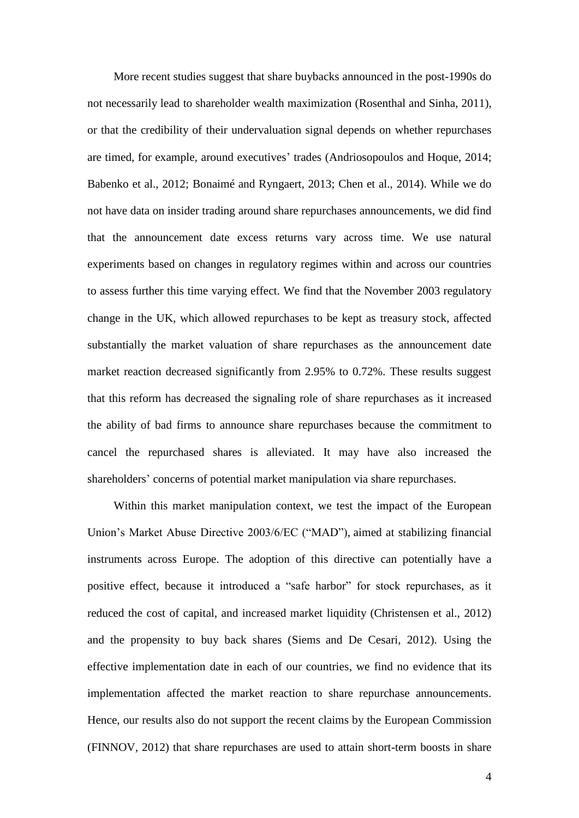More recent studies suggest that share buybacks announced in the post-1990s do not necessarily lead to shareholder wealth maximization (Rosenthal and Sinha, 2011), or that the credibility of their undervaluation signal depends on whether repurchases are timed, for example, around executives' trades (Andriosopoulos and Hoque, 2014; Babenko et al., 2012; Bonaimé and Ryngaert, 2013; Chen et al., 2014). While we do not have data on insider trading around share repurchases announcements, we did find that the announcement date excess returns vary across time. We use natural experiments based on changes in regulatory regimes within and across our countries to assess further this time varying effect. We find that the November 2003 regulatory change in the UK, which allowed repurchases to be kept as treasury stock, affected substantially the market valuation of share repurchases as the announcement date market reaction decreased significantly from 2.95% to 0.72%. These results suggest that this reform has decreased the signaling role of share repurchases as it increased the ability of bad firms to announce share repurchases because the commitment to cancel the repurchased shares is alleviated. It may have also increased the shareholders' concerns of potential market manipulation via share repurchases.

Within this market manipulation context, we test the impact of the European Union's Market Abuse Directive 2003/6/EC ("MAD"), aimed at stabilizing financial instruments across Europe. The adoption of this directive can potentially have a positive effect, because it introduced a "safe harbor" for stock repurchases, as it reduced the cost of capital, and increased market liquidity (Christensen et al., 2012) and the propensity to buy back shares (Siems and De Cesari, 2012). Using the effective implementation date in each of our countries, we find no evidence that its implementation affected the market reaction to share repurchase announcements. Hence, our results also do not support the recent claims by the European Commission (FINNOV, 2012) that share repurchases are used to attain short-term boosts in share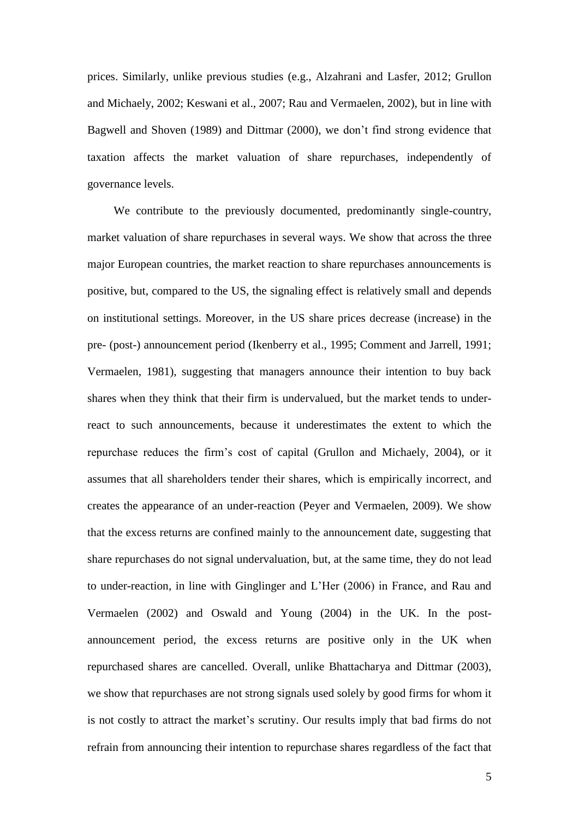prices. Similarly, unlike previous studies (e.g., Alzahrani and Lasfer, 2012; Grullon and Michaely, 2002; Keswani et al., 2007; Rau and Vermaelen, 2002), but in line with Bagwell and Shoven (1989) and Dittmar (2000), we don't find strong evidence that taxation affects the market valuation of share repurchases, independently of governance levels.

We contribute to the previously documented, predominantly single-country, market valuation of share repurchases in several ways. We show that across the three major European countries, the market reaction to share repurchases announcements is positive, but, compared to the US, the signaling effect is relatively small and depends on institutional settings. Moreover, in the US share prices decrease (increase) in the pre- (post-) announcement period (Ikenberry et al., 1995; Comment and Jarrell, 1991; Vermaelen, 1981), suggesting that managers announce their intention to buy back shares when they think that their firm is undervalued, but the market tends to underreact to such announcements, because it underestimates the extent to which the repurchase reduces the firm's cost of capital (Grullon and Michaely, 2004), or it assumes that all shareholders tender their shares, which is empirically incorrect, and creates the appearance of an under-reaction (Peyer and Vermaelen, 2009). We show that the excess returns are confined mainly to the announcement date, suggesting that share repurchases do not signal undervaluation, but, at the same time, they do not lead to under-reaction, in line with Ginglinger and L'Her (2006) in France, and Rau and Vermaelen (2002) and Oswald and Young (2004) in the UK. In the postannouncement period, the excess returns are positive only in the UK when repurchased shares are cancelled. Overall, unlike Bhattacharya and Dittmar (2003), we show that repurchases are not strong signals used solely by good firms for whom it is not costly to attract the market's scrutiny. Our results imply that bad firms do not refrain from announcing their intention to repurchase shares regardless of the fact that

5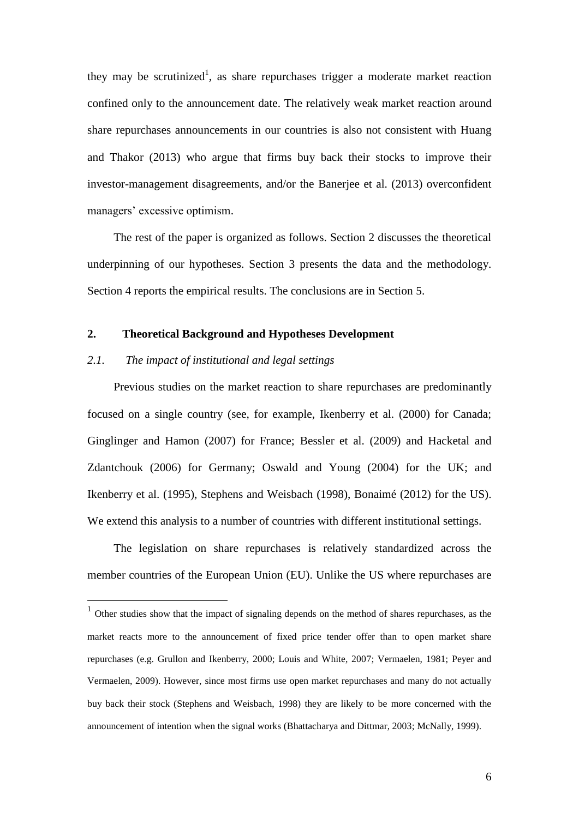they may be scrutinized<sup>1</sup>, as share repurchases trigger a moderate market reaction confined only to the announcement date. The relatively weak market reaction around share repurchases announcements in our countries is also not consistent with Huang and Thakor (2013) who argue that firms buy back their stocks to improve their investor-management disagreements, and/or the Banerjee et al. (2013) overconfident managers' excessive optimism.

The rest of the paper is organized as follows. Section 2 discusses the theoretical underpinning of our hypotheses. Section 3 presents the data and the methodology. Section 4 reports the empirical results. The conclusions are in Section 5.

## **2. Theoretical Background and Hypotheses Development**

## *2.1. The impact of institutional and legal settings*

 $\overline{a}$ 

Previous studies on the market reaction to share repurchases are predominantly focused on a single country (see, for example, Ikenberry et al. (2000) for Canada; Ginglinger and Hamon (2007) for France; Bessler et al. (2009) and Hacketal and Zdantchouk (2006) for Germany; Oswald and Young (2004) for the UK; and Ikenberry et al. (1995), Stephens and Weisbach (1998), Bonaimé (2012) for the US). We extend this analysis to a number of countries with different institutional settings.

The legislation on share repurchases is relatively standardized across the member countries of the European Union (EU). Unlike the US where repurchases are

 $<sup>1</sup>$  Other studies show that the impact of signaling depends on the method of shares repurchases, as the</sup> market reacts more to the announcement of fixed price tender offer than to open market share repurchases (e.g. Grullon and Ikenberry, 2000; Louis and White, 2007; Vermaelen, 1981; Peyer and Vermaelen, 2009). However, since most firms use open market repurchases and many do not actually buy back their stock (Stephens and Weisbach, 1998) they are likely to be more concerned with the announcement of intention when the signal works (Bhattacharya and Dittmar, 2003; McNally, 1999).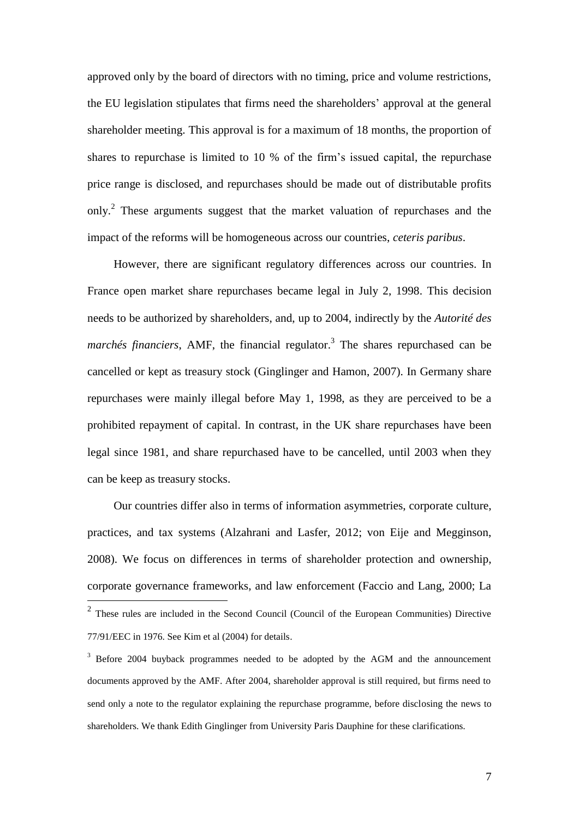approved only by the board of directors with no timing, price and volume restrictions, the EU legislation stipulates that firms need the shareholders' approval at the general shareholder meeting. This approval is for a maximum of 18 months, the proportion of shares to repurchase is limited to 10 % of the firm's issued capital, the repurchase price range is disclosed, and repurchases should be made out of distributable profits only.<sup>2</sup> These arguments suggest that the market valuation of repurchases and the impact of the reforms will be homogeneous across our countries, *ceteris paribus*.

However, there are significant regulatory differences across our countries. In France open market share repurchases became legal in July 2, 1998. This decision needs to be authorized by shareholders, and, up to 2004, indirectly by the *Autorité des marchés financiers*, AMF, the financial regulator. 3 The shares repurchased can be cancelled or kept as treasury stock (Ginglinger and Hamon, 2007). In Germany share repurchases were mainly illegal before May 1, 1998, as they are perceived to be a prohibited repayment of capital. In contrast, in the UK share repurchases have been legal since 1981, and share repurchased have to be cancelled, until 2003 when they can be keep as treasury stocks.

Our countries differ also in terms of information asymmetries, corporate culture, practices, and tax systems (Alzahrani and Lasfer, 2012; von Eije and Megginson, 2008). We focus on differences in terms of shareholder protection and ownership, corporate governance frameworks, and law enforcement (Faccio and Lang, 2000; La

 $2$  These rules are included in the Second Council (Council of the European Communities) Directive 77/91/EEC in 1976. See Kim et al (2004) for details.

<sup>&</sup>lt;sup>3</sup> Before 2004 buyback programmes needed to be adopted by the AGM and the announcement documents approved by the AMF. After 2004, shareholder approval is still required, but firms need to send only a note to the regulator explaining the repurchase programme, before disclosing the news to shareholders. We thank Edith Ginglinger from University Paris Dauphine for these clarifications.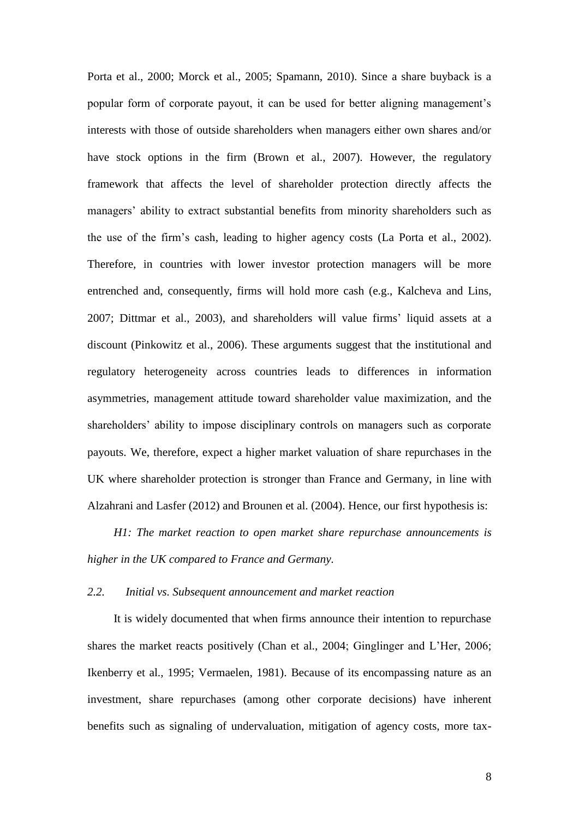Porta et al., 2000; Morck et al., 2005; Spamann, 2010). Since a share buyback is a popular form of corporate payout, it can be used for better aligning management's interests with those of outside shareholders when managers either own shares and/or have stock options in the firm (Brown et al., 2007). However, the regulatory framework that affects the level of shareholder protection directly affects the managers' ability to extract substantial benefits from minority shareholders such as the use of the firm's cash, leading to higher agency costs (La Porta et al., 2002). Therefore, in countries with lower investor protection managers will be more entrenched and, consequently, firms will hold more cash (e.g., Kalcheva and Lins, 2007; Dittmar et al., 2003), and shareholders will value firms' liquid assets at a discount (Pinkowitz et al., 2006). These arguments suggest that the institutional and regulatory heterogeneity across countries leads to differences in information asymmetries, management attitude toward shareholder value maximization, and the shareholders' ability to impose disciplinary controls on managers such as corporate payouts. We, therefore, expect a higher market valuation of share repurchases in the UK where shareholder protection is stronger than France and Germany, in line with Alzahrani and Lasfer (2012) and Brounen et al. (2004). Hence, our first hypothesis is:

*H1: The market reaction to open market share repurchase announcements is higher in the UK compared to France and Germany.*

#### *2.2. Initial vs. Subsequent announcement and market reaction*

It is widely documented that when firms announce their intention to repurchase shares the market reacts positively (Chan et al., 2004; Ginglinger and L'Her, 2006; Ikenberry et al., 1995; Vermaelen, 1981). Because of its encompassing nature as an investment, share repurchases (among other corporate decisions) have inherent benefits such as signaling of undervaluation, mitigation of agency costs, more tax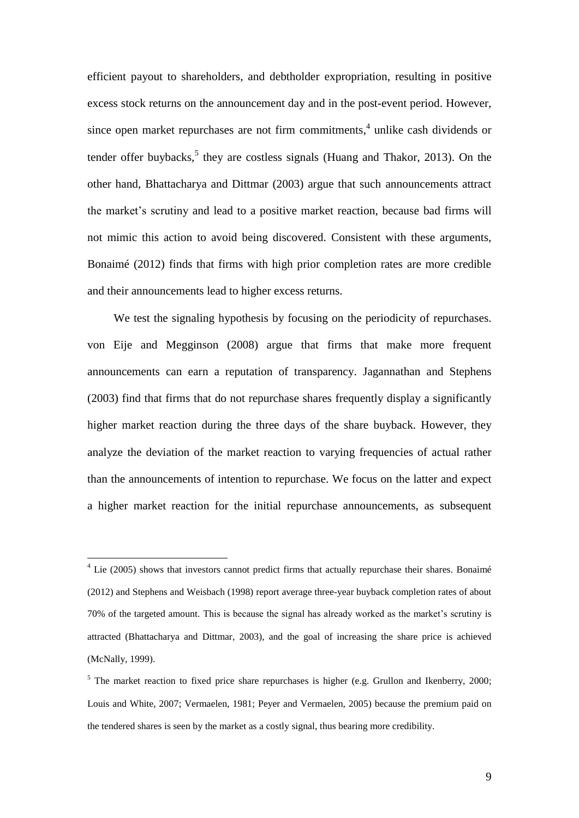efficient payout to shareholders, and debtholder expropriation, resulting in positive excess stock returns on the announcement day and in the post-event period. However, since open market repurchases are not firm commitments, 4 unlike cash dividends or tender offer buybacks,<sup>5</sup> they are costless signals (Huang and Thakor, 2013). On the other hand, Bhattacharya and Dittmar (2003) argue that such announcements attract the market's scrutiny and lead to a positive market reaction, because bad firms will not mimic this action to avoid being discovered. Consistent with these arguments, Bonaimé (2012) finds that firms with high prior completion rates are more credible and their announcements lead to higher excess returns.

We test the signaling hypothesis by focusing on the periodicity of repurchases. von Eije and Megginson (2008) argue that firms that make more frequent announcements can earn a reputation of transparency. Jagannathan and Stephens (2003) find that firms that do not repurchase shares frequently display a significantly higher market reaction during the three days of the share buyback. However, they analyze the deviation of the market reaction to varying frequencies of actual rather than the announcements of intention to repurchase. We focus on the latter and expect a higher market reaction for the initial repurchase announcements, as subsequent

 $4$  Lie (2005) shows that investors cannot predict firms that actually repurchase their shares. Bonaimé (2012) and Stephens and Weisbach (1998) report average three-year buyback completion rates of about 70% of the targeted amount. This is because the signal has already worked as the market's scrutiny is attracted (Bhattacharya and Dittmar, 2003), and the goal of increasing the share price is achieved (McNally, 1999).

<sup>&</sup>lt;sup>5</sup> The market reaction to fixed price share repurchases is higher (e.g. Grullon and Ikenberry, 2000; Louis and White, 2007; Vermaelen, 1981; Peyer and Vermaelen, 2005) because the premium paid on the tendered shares is seen by the market as a costly signal, thus bearing more credibility.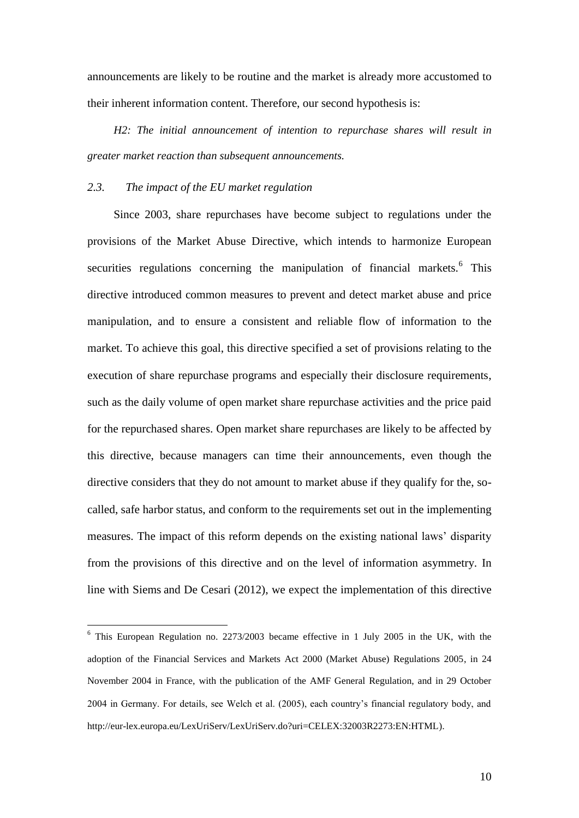announcements are likely to be routine and the market is already more accustomed to their inherent information content. Therefore, our second hypothesis is:

*H2: The initial announcement of intention to repurchase shares will result in greater market reaction than subsequent announcements.*

## *2.3. The impact of the EU market regulation*

 $\overline{a}$ 

Since 2003, share repurchases have become subject to regulations under the provisions of the Market Abuse Directive, which intends to harmonize European securities regulations concerning the manipulation of financial markets.<sup>6</sup> This directive introduced common measures to prevent and detect market abuse and price manipulation, and to ensure a consistent and reliable flow of information to the market. To achieve this goal, this directive specified a set of provisions relating to the execution of share repurchase programs and especially their disclosure requirements, such as the daily volume of open market share repurchase activities and the price paid for the repurchased shares. Open market share repurchases are likely to be affected by this directive, because managers can time their announcements, even though the directive considers that they do not amount to market abuse if they qualify for the, socalled, safe harbor status, and conform to the requirements set out in the implementing measures. The impact of this reform depends on the existing national laws' disparity from the provisions of this directive and on the level of information asymmetry. In line with Siems and De Cesari (2012), we expect the implementation of this directive

10

 $6$  This European Regulation no. 2273/2003 became effective in 1 July 2005 in the UK, with the adoption of the Financial Services and Markets Act 2000 (Market Abuse) Regulations 2005, in 24 November 2004 in France, with the publication of the AMF General Regulation, and in 29 October 2004 in Germany. For details, see Welch et al. (2005), each country's financial regulatory body, and [http://eur-lex.europa.eu/LexUriServ/LexUriServ.do?uri=CELEX:32003R2273:EN:HTML\)](http://eur-lex.europa.eu/LexUriServ/LexUriServ.do?uri=CELEX:32003R2273:EN:HTML).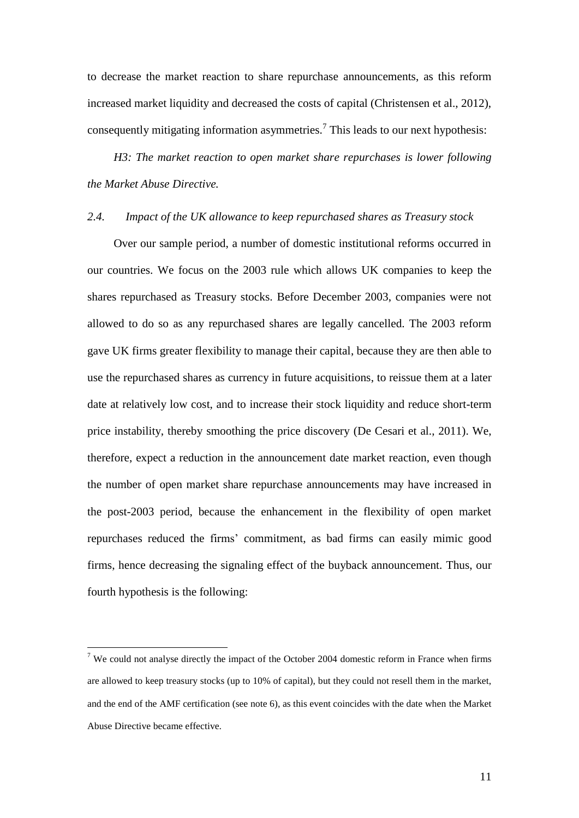to decrease the market reaction to share repurchase announcements, as this reform increased market liquidity and decreased the costs of capital (Christensen et al., 2012). consequently mitigating information asymmetries.<sup>7</sup> This leads to our next hypothesis:

*H3: The market reaction to open market share repurchases is lower following the Market Abuse Directive.*

#### *2.4. Impact of the UK allowance to keep repurchased shares as Treasury stock*

Over our sample period, a number of domestic institutional reforms occurred in our countries. We focus on the 2003 rule which allows UK companies to keep the shares repurchased as Treasury stocks. Before December 2003, companies were not allowed to do so as any repurchased shares are legally cancelled. The 2003 reform gave UK firms greater flexibility to manage their capital, because they are then able to use the repurchased shares as currency in future acquisitions, to reissue them at a later date at relatively low cost, and to increase their stock liquidity and reduce short-term price instability, thereby smoothing the price discovery (De Cesari et al., 2011). We, therefore, expect a reduction in the announcement date market reaction, even though the number of open market share repurchase announcements may have increased in the post-2003 period, because the enhancement in the flexibility of open market repurchases reduced the firms' commitment, as bad firms can easily mimic good firms, hence decreasing the signaling effect of the buyback announcement. Thus, our fourth hypothesis is the following:

<sup>&</sup>lt;sup>7</sup> We could not analyse directly the impact of the October 2004 domestic reform in France when firms are allowed to keep treasury stocks (up to 10% of capital), but they could not resell them in the market, and the end of the AMF certification (see note 6), as this event coincides with the date when the Market Abuse Directive became effective.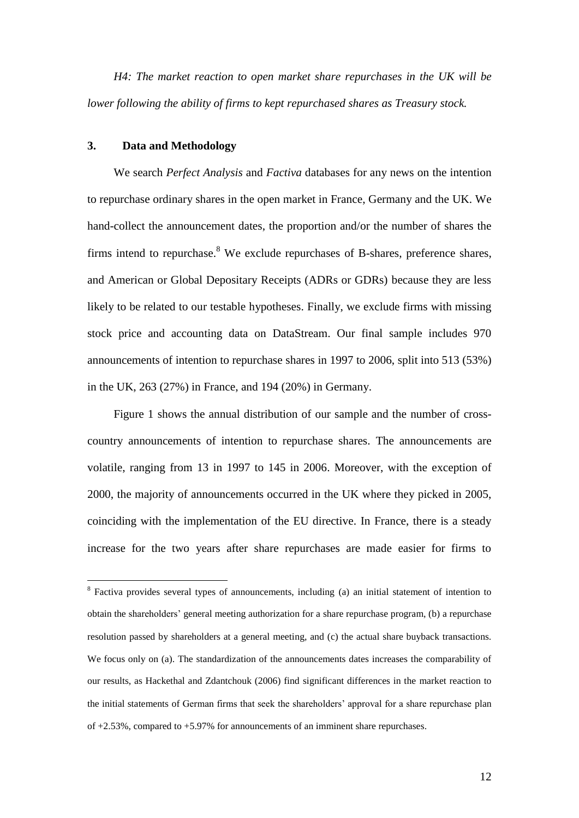*H4: The market reaction to open market share repurchases in the UK will be lower following the ability of firms to kept repurchased shares as Treasury stock.*

## **3. Data and Methodology**

 $\overline{a}$ 

We search *Perfect Analysis* and *Factiva* databases for any news on the intention to repurchase ordinary shares in the open market in France, Germany and the UK. We hand-collect the announcement dates, the proportion and/or the number of shares the firms intend to repurchase.<sup>8</sup> We exclude repurchases of B-shares, preference shares, and American or Global Depositary Receipts (ADRs or GDRs) because they are less likely to be related to our testable hypotheses. Finally, we exclude firms with missing stock price and accounting data on DataStream. Our final sample includes 970 announcements of intention to repurchase shares in 1997 to 2006, split into 513 (53%) in the UK, 263 (27%) in France, and 194 (20%) in Germany.

Figure 1 shows the annual distribution of our sample and the number of crosscountry announcements of intention to repurchase shares. The announcements are volatile, ranging from 13 in 1997 to 145 in 2006. Moreover, with the exception of 2000, the majority of announcements occurred in the UK where they picked in 2005, coinciding with the implementation of the EU directive. In France, there is a steady increase for the two years after share repurchases are made easier for firms to

<sup>&</sup>lt;sup>8</sup> Factiva provides several types of announcements, including (a) an initial statement of intention to obtain the shareholders' general meeting authorization for a share repurchase program, (b) a repurchase resolution passed by shareholders at a general meeting, and (c) the actual share buyback transactions. We focus only on (a). The standardization of the announcements dates increases the comparability of our results, as Hackethal and Zdantchouk (2006) find significant differences in the market reaction to the initial statements of German firms that seek the shareholders' approval for a share repurchase plan of +2.53%, compared to +5.97% for announcements of an imminent share repurchases.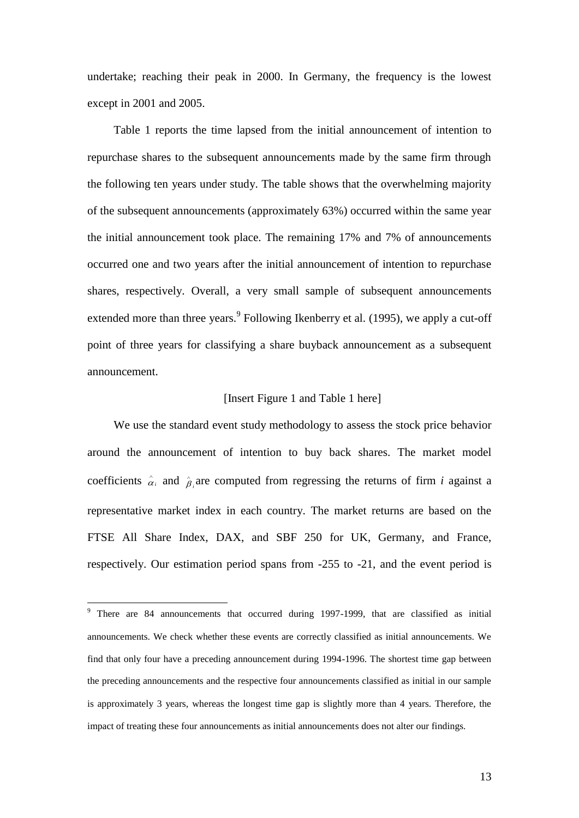undertake; reaching their peak in 2000. In Germany, the frequency is the lowest except in 2001 and 2005.

Table 1 reports the time lapsed from the initial announcement of intention to repurchase shares to the subsequent announcements made by the same firm through the following ten years under study. The table shows that the overwhelming majority of the subsequent announcements (approximately 63%) occurred within the same year the initial announcement took place. The remaining 17% and 7% of announcements occurred one and two years after the initial announcement of intention to repurchase shares, respectively. Overall, a very small sample of subsequent announcements extended more than three years. <sup>9</sup> Following Ikenberry et al. (1995), we apply a cut-off point of three years for classifying a share buyback announcement as a subsequent announcement.

## [Insert Figure 1 and Table 1 here]

We use the standard event study methodology to assess the stock price behavior around the announcement of intention to buy back shares. The market model coefficients  $\hat{\alpha}_i$  $\hat{\alpha}_i$  and  $\hat{\beta}_i$  $\hat{\beta}_i$  are computed from regressing the returns of firm *i* against a representative market index in each country. The market returns are based on the FTSE All Share Index, DAX, and SBF 250 for UK, Germany, and France, respectively. Our estimation period spans from -255 to -21, and the event period is

<sup>&</sup>lt;sup>9</sup> There are 84 announcements that occurred during 1997-1999, that are classified as initial announcements. We check whether these events are correctly classified as initial announcements. We find that only four have a preceding announcement during 1994-1996. The shortest time gap between the preceding announcements and the respective four announcements classified as initial in our sample is approximately 3 years, whereas the longest time gap is slightly more than 4 years. Therefore, the impact of treating these four announcements as initial announcements does not alter our findings.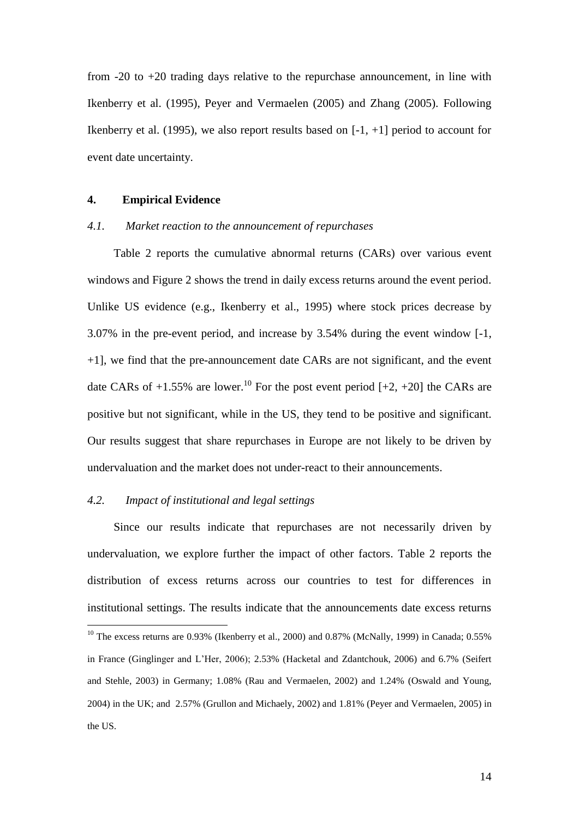from -20 to +20 trading days relative to the repurchase announcement, in line with Ikenberry et al. (1995), Peyer and Vermaelen (2005) and Zhang (2005). Following Ikenberry et al. (1995), we also report results based on  $[-1, +1]$  period to account for event date uncertainty.

#### **4. Empirical Evidence**

#### *4.1. Market reaction to the announcement of repurchases*

Table 2 reports the cumulative abnormal returns (CARs) over various event windows and Figure 2 shows the trend in daily excess returns around the event period. Unlike US evidence (e.g., Ikenberry et al., 1995) where stock prices decrease by 3.07% in the pre-event period, and increase by 3.54% during the event window [-1, +1], we find that the pre-announcement date CARs are not significant, and the event date CARs of  $+1.55\%$  are lower.<sup>10</sup> For the post event period [ $+2$ ,  $+20$ ] the CARs are positive but not significant, while in the US, they tend to be positive and significant. Our results suggest that share repurchases in Europe are not likely to be driven by undervaluation and the market does not under-react to their announcements.

#### *4.2. Impact of institutional and legal settings*

 $\overline{a}$ 

Since our results indicate that repurchases are not necessarily driven by undervaluation, we explore further the impact of other factors. Table 2 reports the distribution of excess returns across our countries to test for differences in institutional settings. The results indicate that the announcements date excess returns

<sup>&</sup>lt;sup>10</sup> The excess returns are 0.93% (Ikenberry et al., 2000) and 0.87% (McNally, 1999) in Canada; 0.55% in France (Ginglinger and L'Her, 2006); 2.53% (Hacketal and Zdantchouk, 2006) and 6.7% (Seifert and Stehle, 2003) in Germany; 1.08% (Rau and Vermaelen, 2002) and 1.24% (Oswald and Young, 2004) in the UK; and 2.57% (Grullon and Michaely, 2002) and 1.81% (Peyer and Vermaelen, 2005) in the US.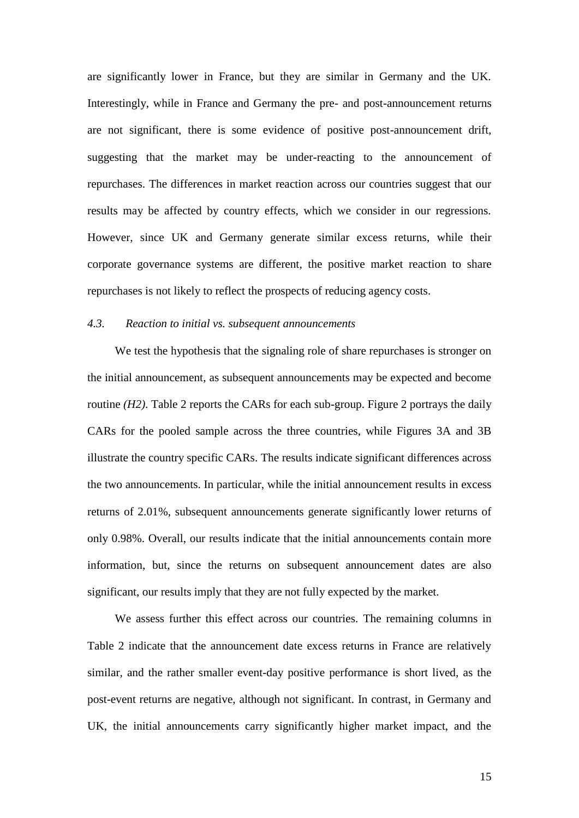are significantly lower in France, but they are similar in Germany and the UK. Interestingly, while in France and Germany the pre- and post-announcement returns are not significant, there is some evidence of positive post-announcement drift, suggesting that the market may be under-reacting to the announcement of repurchases. The differences in market reaction across our countries suggest that our results may be affected by country effects, which we consider in our regressions. However, since UK and Germany generate similar excess returns, while their corporate governance systems are different, the positive market reaction to share repurchases is not likely to reflect the prospects of reducing agency costs.

## *4.3. Reaction to initial vs. subsequent announcements*

We test the hypothesis that the signaling role of share repurchases is stronger on the initial announcement, as subsequent announcements may be expected and become routine *(H2)*. Table 2 reports the CARs for each sub-group. Figure 2 portrays the daily CARs for the pooled sample across the three countries, while Figures 3A and 3B illustrate the country specific CARs. The results indicate significant differences across the two announcements. In particular, while the initial announcement results in excess returns of 2.01%, subsequent announcements generate significantly lower returns of only 0.98%. Overall, our results indicate that the initial announcements contain more information, but, since the returns on subsequent announcement dates are also significant, our results imply that they are not fully expected by the market.

We assess further this effect across our countries. The remaining columns in Table 2 indicate that the announcement date excess returns in France are relatively similar, and the rather smaller event-day positive performance is short lived, as the post-event returns are negative, although not significant. In contrast, in Germany and UK, the initial announcements carry significantly higher market impact, and the

15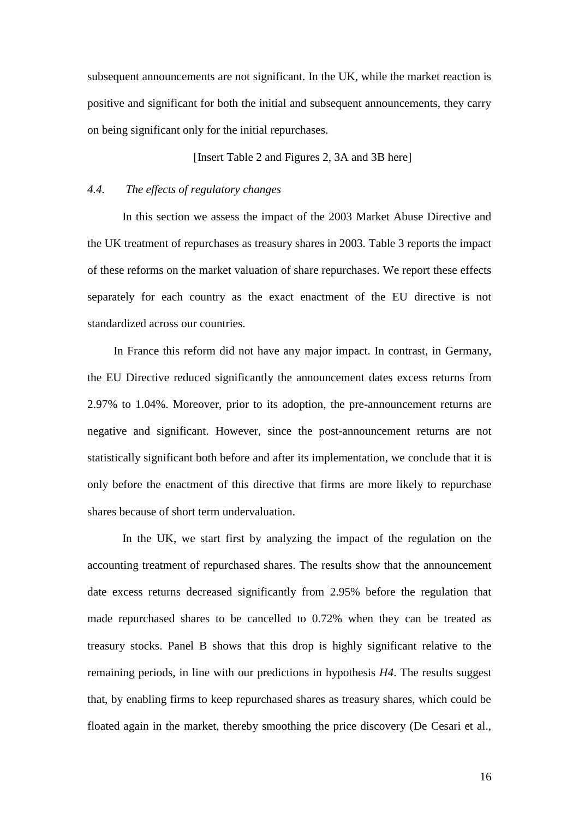subsequent announcements are not significant. In the UK, while the market reaction is positive and significant for both the initial and subsequent announcements, they carry on being significant only for the initial repurchases.

[Insert Table 2 and Figures 2, 3A and 3B here]

## *4.4. The effects of regulatory changes*

In this section we assess the impact of the 2003 Market Abuse Directive and the UK treatment of repurchases as treasury shares in 2003. Table 3 reports the impact of these reforms on the market valuation of share repurchases. We report these effects separately for each country as the exact enactment of the EU directive is not standardized across our countries.

In France this reform did not have any major impact. In contrast, in Germany, the EU Directive reduced significantly the announcement dates excess returns from 2.97% to 1.04%. Moreover, prior to its adoption, the pre-announcement returns are negative and significant. However, since the post-announcement returns are not statistically significant both before and after its implementation, we conclude that it is only before the enactment of this directive that firms are more likely to repurchase shares because of short term undervaluation.

In the UK, we start first by analyzing the impact of the regulation on the accounting treatment of repurchased shares. The results show that the announcement date excess returns decreased significantly from 2.95% before the regulation that made repurchased shares to be cancelled to 0.72% when they can be treated as treasury stocks. Panel B shows that this drop is highly significant relative to the remaining periods, in line with our predictions in hypothesis *H4*. The results suggest that, by enabling firms to keep repurchased shares as treasury shares, which could be floated again in the market, thereby smoothing the price discovery (De Cesari et al.,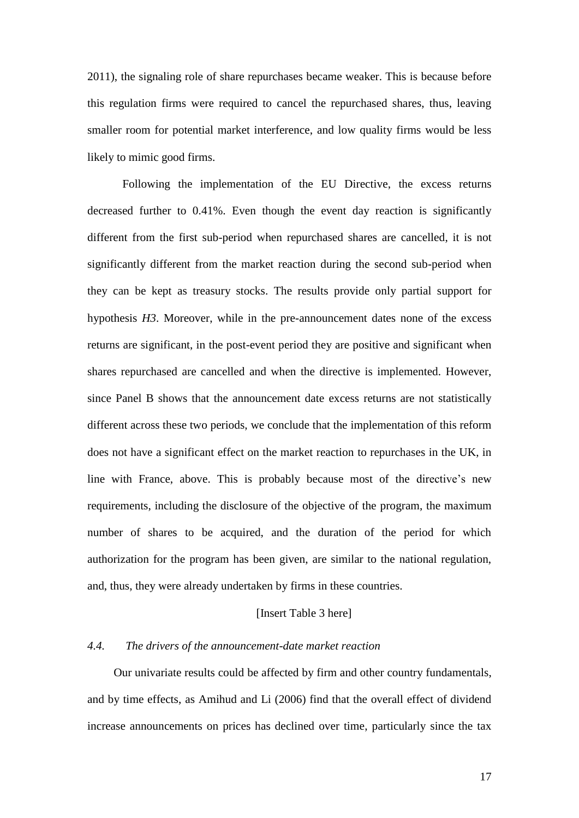2011), the signaling role of share repurchases became weaker. This is because before this regulation firms were required to cancel the repurchased shares, thus, leaving smaller room for potential market interference, and low quality firms would be less likely to mimic good firms.

Following the implementation of the EU Directive, the excess returns decreased further to 0.41%. Even though the event day reaction is significantly different from the first sub-period when repurchased shares are cancelled, it is not significantly different from the market reaction during the second sub-period when they can be kept as treasury stocks. The results provide only partial support for hypothesis *H3*. Moreover, while in the pre-announcement dates none of the excess returns are significant, in the post-event period they are positive and significant when shares repurchased are cancelled and when the directive is implemented. However, since Panel B shows that the announcement date excess returns are not statistically different across these two periods, we conclude that the implementation of this reform does not have a significant effect on the market reaction to repurchases in the UK, in line with France, above. This is probably because most of the directive's new requirements, including the disclosure of the objective of the program, the maximum number of shares to be acquired, and the duration of the period for which authorization for the program has been given, are similar to the national regulation, and, thus, they were already undertaken by firms in these countries.

### [Insert Table 3 here]

#### *4.4. The drivers of the announcement-date market reaction*

Our univariate results could be affected by firm and other country fundamentals, and by time effects, as Amihud and Li (2006) find that the overall effect of dividend increase announcements on prices has declined over time, particularly since the tax

17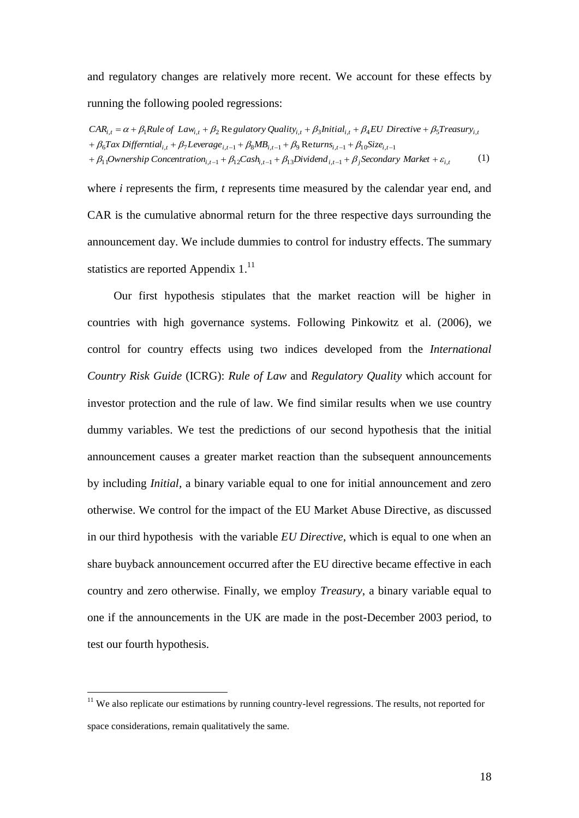and regulatory changes are relatively more recent. We account for these effects by running the following pooled regressions:

*Ownership Concentration*<sub>*i*,t-1</sub> +  $\beta_{12}$ Cash<sub>*i*,t-1</sub> +  $\beta_{13}$ Dividend<sub>i,t-1</sub> +  $\beta_j$ Secondary Market</sub> +  $\varepsilon_{i,j}$  $i + \beta_6 Tax\ Differential_{i,t} + \beta_7 Leverage_{i,t-1} + \beta_8 MB_{i,t-1} + \beta_9 Return_{i,t-1} + \beta_{10} Size_{i,t-1}$  $CAR_{i,t} = \alpha + \beta_1 Rule \ of \ Law_{i,t} + \beta_2$  Re gulatory Quality<sub>i,t</sub> +  $\beta_3 Initial_{i,t} + \beta_4 EU$  Directive +  $\beta_5 T$ reasury<sub>i,t</sub><br>+  $\beta_6 Tax$  Differntial<sub>i,t</sub> +  $\beta_7 Leverage_{i,t-1} + \beta_8 MB_{i,t-1} + \beta_9$  Returns<sub>i,t-1</sub> +  $\beta_{10} Size_{i,t-1}$ 1 1 , <sup>1</sup> 1 2 , <sup>1</sup> 1 3 , <sup>1</sup> ,  $\alpha_{i,t} = \alpha + \beta_1$ Rule of Law<sub>i,t</sub> +  $\beta_2$  Re gulatory Quality<sub>i,t</sub> +  $\beta_3$ Initial<sub>i,t</sub> +  $\beta_4$ EU Directive +  $\beta_5$ Treasury<sub>i</sub> +  $\beta_{11}$ Ownership Concentration<sub>i,t-1</sub> +  $\beta_{12}$ Cash<sub>i,t-1</sub> +  $\beta_{13}$ Dividend<sub>i,t-1</sub> +  $\beta_j$ Secondary Market +  $\varepsilon$ (1)

where *i* represents the firm, *t* represents time measured by the calendar year end, and CAR is the cumulative abnormal return for the three respective days surrounding the announcement day. We include dummies to control for industry effects. The summary statistics are reported Appendix  $1<sup>11</sup>$ 

Our first hypothesis stipulates that the market reaction will be higher in countries with high governance systems. Following Pinkowitz et al. (2006), we control for country effects using two indices developed from the *International Country Risk Guide* (ICRG): *Rule of Law* and *Regulatory Quality* which account for investor protection and the rule of law. We find similar results when we use country dummy variables. We test the predictions of our second hypothesis that the initial announcement causes a greater market reaction than the subsequent announcements by including *Initial,* a binary variable equal to one for initial announcement and zero otherwise. We control for the impact of the EU Market Abuse Directive, as discussed in our third hypothesis with the variable *EU Directive*, which is equal to one when an share buyback announcement occurred after the EU directive became effective in each country and zero otherwise. Finally, we employ *Treasury*, a binary variable equal to one if the announcements in the UK are made in the post-December 2003 period, to test our fourth hypothesis.

<sup>&</sup>lt;sup>11</sup> We also replicate our estimations by running country-level regressions. The results, not reported for space considerations, remain qualitatively the same.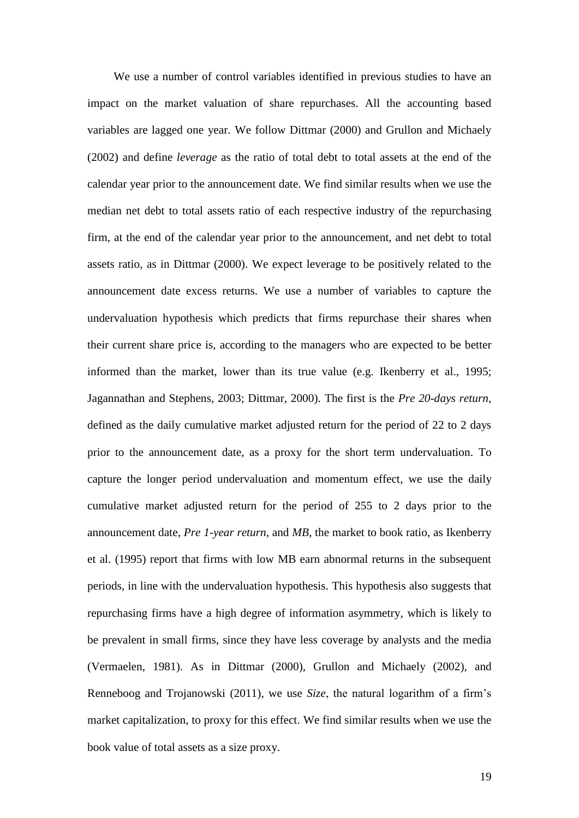We use a number of control variables identified in previous studies to have an impact on the market valuation of share repurchases. All the accounting based variables are lagged one year. We follow Dittmar (2000) and Grullon and Michaely (2002) and define *leverage* as the ratio of total debt to total assets at the end of the calendar year prior to the announcement date. We find similar results when we use the median net debt to total assets ratio of each respective industry of the repurchasing firm, at the end of the calendar year prior to the announcement, and net debt to total assets ratio, as in Dittmar (2000). We expect leverage to be positively related to the announcement date excess returns. We use a number of variables to capture the undervaluation hypothesis which predicts that firms repurchase their shares when their current share price is, according to the managers who are expected to be better informed than the market, lower than its true value (e.g. Ikenberry et al., 1995; Jagannathan and Stephens, 2003; Dittmar, 2000). The first is the *Pre 20-days return*, defined as the daily cumulative market adjusted return for the period of 22 to 2 days prior to the announcement date, as a proxy for the short term undervaluation. To capture the longer period undervaluation and momentum effect, we use the daily cumulative market adjusted return for the period of 255 to 2 days prior to the announcement date, *Pre 1-year return*, and *MB*, the market to book ratio, as Ikenberry et al. (1995) report that firms with low MB earn abnormal returns in the subsequent periods, in line with the undervaluation hypothesis. This hypothesis also suggests that repurchasing firms have a high degree of information asymmetry, which is likely to be prevalent in small firms, since they have less coverage by analysts and the media (Vermaelen, 1981). As in Dittmar (2000), Grullon and Michaely (2002), and Renneboog and Trojanowski (2011), we use *Size*, the natural logarithm of a firm's market capitalization, to proxy for this effect. We find similar results when we use the book value of total assets as a size proxy.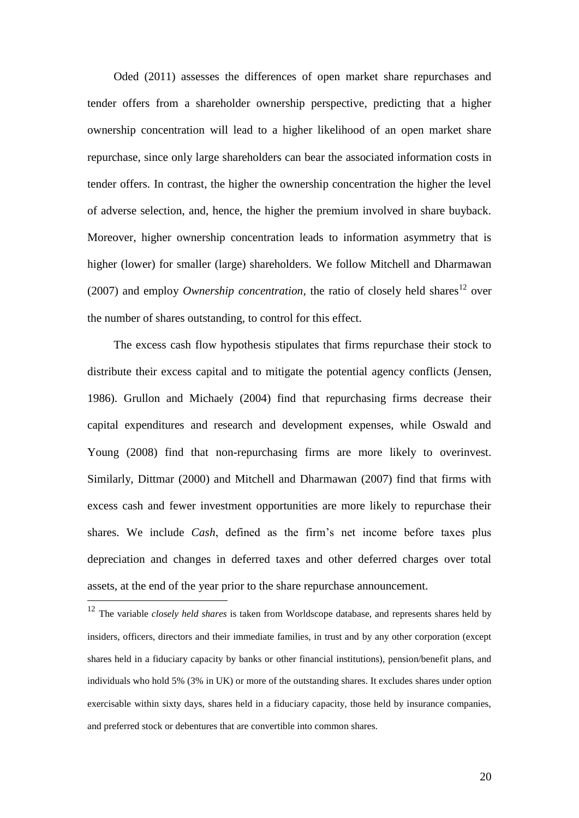Oded (2011) assesses the differences of open market share repurchases and tender offers from a shareholder ownership perspective, predicting that a higher ownership concentration will lead to a higher likelihood of an open market share repurchase, since only large shareholders can bear the associated information costs in tender offers. In contrast, the higher the ownership concentration the higher the level of adverse selection, and, hence, the higher the premium involved in share buyback. Moreover, higher ownership concentration leads to information asymmetry that is higher (lower) for smaller (large) shareholders. We follow Mitchell and Dharmawan (2007) and employ *Ownership concentration*, the ratio of closely held shares<sup>12</sup> over the number of shares outstanding, to control for this effect.

The excess cash flow hypothesis stipulates that firms repurchase their stock to distribute their excess capital and to mitigate the potential agency conflicts (Jensen, 1986). Grullon and Michaely (2004) find that repurchasing firms decrease their capital expenditures and research and development expenses, while Oswald and Young (2008) find that non-repurchasing firms are more likely to overinvest. Similarly, Dittmar (2000) and Mitchell and Dharmawan (2007) find that firms with excess cash and fewer investment opportunities are more likely to repurchase their shares. We include *Cash*, defined as the firm's net income before taxes plus depreciation and changes in deferred taxes and other deferred charges over total assets, at the end of the year prior to the share repurchase announcement.

<sup>12</sup> The variable *closely held shares* is taken from Worldscope database, and represents shares held by insiders, officers, directors and their immediate families, in trust and by any other corporation (except shares held in a fiduciary capacity by banks or other financial institutions), pension/benefit plans, and individuals who hold 5% (3% in UK) or more of the outstanding shares. It excludes shares under option exercisable within sixty days, shares held in a fiduciary capacity, those held by insurance companies, and preferred stock or debentures that are convertible into common shares.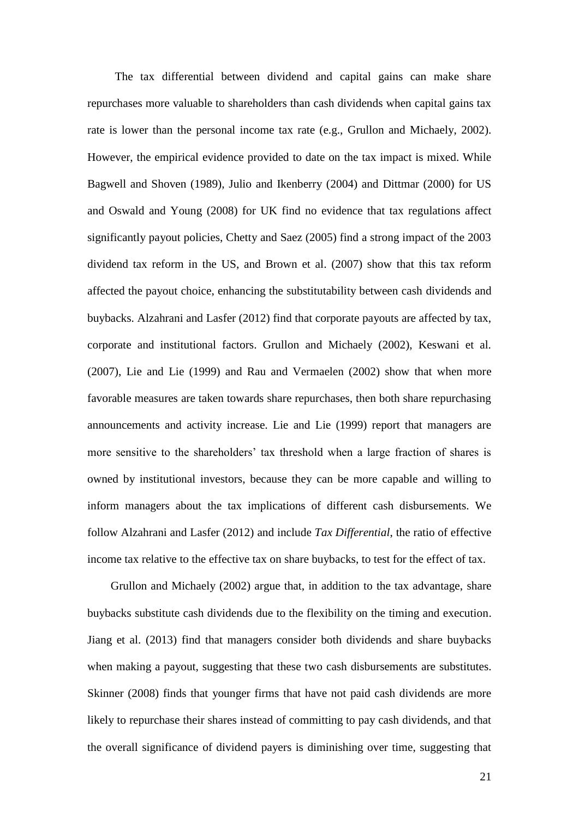The tax differential between dividend and capital gains can make share repurchases more valuable to shareholders than cash dividends when capital gains tax rate is lower than the personal income tax rate (e.g., Grullon and Michaely, 2002). However, the empirical evidence provided to date on the tax impact is mixed. While Bagwell and Shoven (1989), Julio and Ikenberry (2004) and Dittmar (2000) for US and Oswald and Young (2008) for UK find no evidence that tax regulations affect significantly payout policies, Chetty and Saez (2005) find a strong impact of the 2003 dividend tax reform in the US, and Brown et al. (2007) show that this tax reform affected the payout choice, enhancing the substitutability between cash dividends and buybacks. Alzahrani and Lasfer (2012) find that corporate payouts are affected by tax, corporate and institutional factors. Grullon and Michaely (2002), Keswani et al. (2007), Lie and Lie (1999) and Rau and Vermaelen (2002) show that when more favorable measures are taken towards share repurchases, then both share repurchasing announcements and activity increase. Lie and Lie (1999) report that managers are more sensitive to the shareholders' tax threshold when a large fraction of shares is owned by institutional investors, because they can be more capable and willing to inform managers about the tax implications of different cash disbursements. We follow Alzahrani and Lasfer (2012) and include *Tax Differential*, the ratio of effective income tax relative to the effective tax on share buybacks, to test for the effect of tax.

Grullon and Michaely (2002) argue that, in addition to the tax advantage, share buybacks substitute cash dividends due to the flexibility on the timing and execution. Jiang et al. (2013) find that managers consider both dividends and share buybacks when making a payout, suggesting that these two cash disbursements are substitutes. Skinner (2008) finds that younger firms that have not paid cash dividends are more likely to repurchase their shares instead of committing to pay cash dividends, and that the overall significance of dividend payers is diminishing over time, suggesting that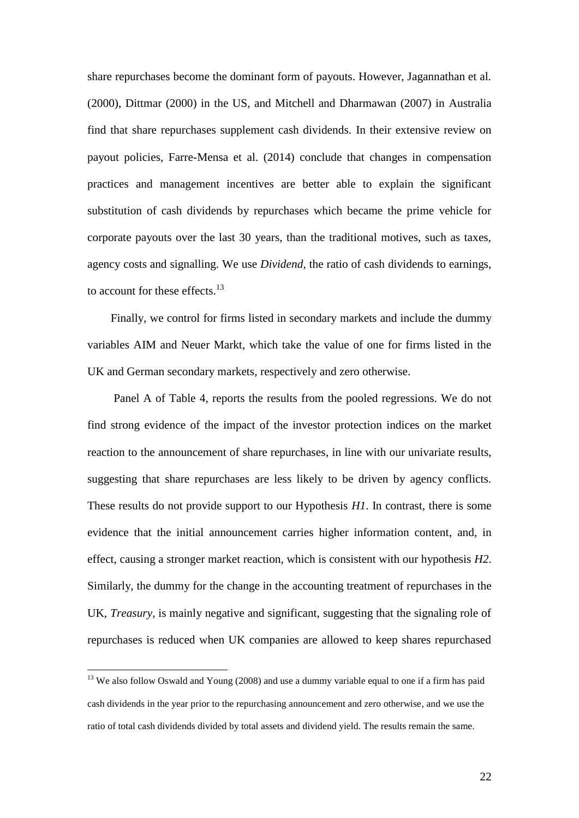share repurchases become the dominant form of payouts. However, Jagannathan et al. (2000), Dittmar (2000) in the US, and Mitchell and Dharmawan (2007) in Australia find that share repurchases supplement cash dividends. In their extensive review on payout policies, Farre-Mensa et al. (2014) conclude that changes in compensation practices and management incentives are better able to explain the significant substitution of cash dividends by repurchases which became the prime vehicle for corporate payouts over the last 30 years, than the traditional motives, such as taxes, agency costs and signalling. We use *Dividend*, the ratio of cash dividends to earnings, to account for these effects.<sup>13</sup>

Finally, we control for firms listed in secondary markets and include the dummy variables AIM and Neuer Markt, which take the value of one for firms listed in the UK and German secondary markets, respectively and zero otherwise.

Panel A of Table 4, reports the results from the pooled regressions. We do not find strong evidence of the impact of the investor protection indices on the market reaction to the announcement of share repurchases, in line with our univariate results, suggesting that share repurchases are less likely to be driven by agency conflicts. These results do not provide support to our Hypothesis *H1*. In contrast, there is some evidence that the initial announcement carries higher information content, and, in effect, causing a stronger market reaction, which is consistent with our hypothesis *H2*. Similarly, the dummy for the change in the accounting treatment of repurchases in the UK, *Treasury*, is mainly negative and significant, suggesting that the signaling role of repurchases is reduced when UK companies are allowed to keep shares repurchased

 $13$  We also follow Oswald and Young (2008) and use a dummy variable equal to one if a firm has paid cash dividends in the year prior to the repurchasing announcement and zero otherwise, and we use the ratio of total cash dividends divided by total assets and dividend yield. The results remain the same.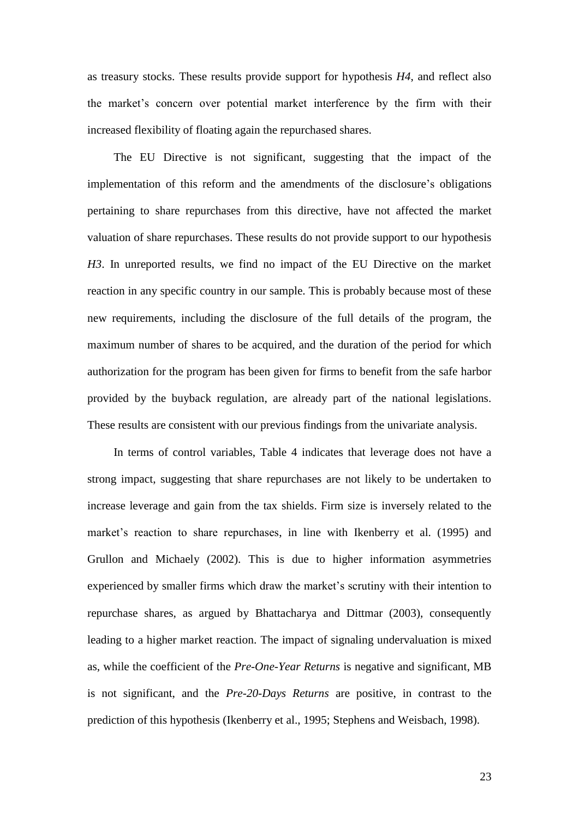as treasury stocks. These results provide support for hypothesis *H4*, and reflect also the market's concern over potential market interference by the firm with their increased flexibility of floating again the repurchased shares.

The EU Directive is not significant, suggesting that the impact of the implementation of this reform and the amendments of the disclosure's obligations pertaining to share repurchases from this directive, have not affected the market valuation of share repurchases. These results do not provide support to our hypothesis *H3*. In unreported results, we find no impact of the EU Directive on the market reaction in any specific country in our sample. This is probably because most of these new requirements, including the disclosure of the full details of the program, the maximum number of shares to be acquired, and the duration of the period for which authorization for the program has been given for firms to benefit from the safe harbor provided by the buyback regulation, are already part of the national legislations. These results are consistent with our previous findings from the univariate analysis.

In terms of control variables, Table 4 indicates that leverage does not have a strong impact, suggesting that share repurchases are not likely to be undertaken to increase leverage and gain from the tax shields. Firm size is inversely related to the market's reaction to share repurchases, in line with Ikenberry et al. (1995) and Grullon and Michaely (2002). This is due to higher information asymmetries experienced by smaller firms which draw the market's scrutiny with their intention to repurchase shares, as argued by Bhattacharya and Dittmar (2003), consequently leading to a higher market reaction. The impact of signaling undervaluation is mixed as, while the coefficient of the *Pre-One-Year Returns* is negative and significant, MB is not significant, and the *Pre-20-Days Returns* are positive, in contrast to the prediction of this hypothesis (Ikenberry et al., 1995; Stephens and Weisbach, 1998).

23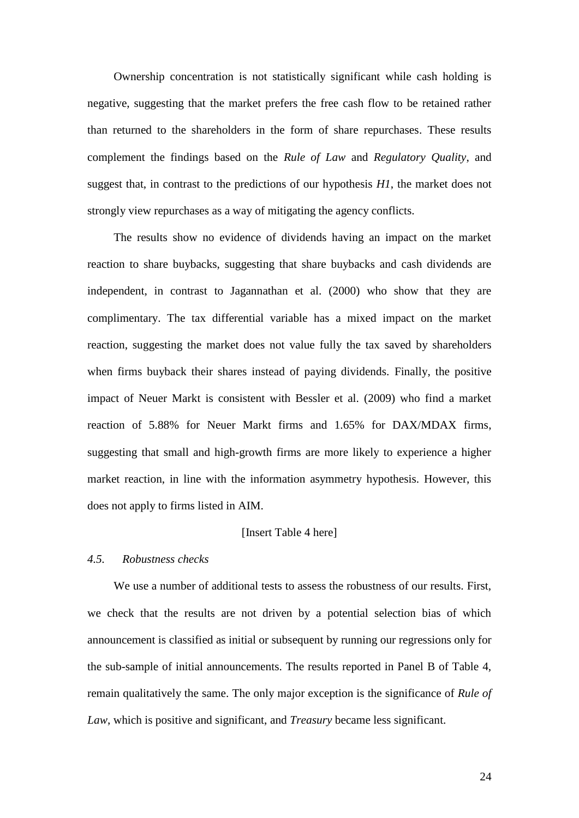Ownership concentration is not statistically significant while cash holding is negative, suggesting that the market prefers the free cash flow to be retained rather than returned to the shareholders in the form of share repurchases. These results complement the findings based on the *Rule of Law* and *Regulatory Quality*, and suggest that, in contrast to the predictions of our hypothesis *H1*, the market does not strongly view repurchases as a way of mitigating the agency conflicts.

The results show no evidence of dividends having an impact on the market reaction to share buybacks, suggesting that share buybacks and cash dividends are independent, in contrast to Jagannathan et al. (2000) who show that they are complimentary. The tax differential variable has a mixed impact on the market reaction, suggesting the market does not value fully the tax saved by shareholders when firms buyback their shares instead of paying dividends. Finally, the positive impact of Neuer Markt is consistent with Bessler et al. (2009) who find a market reaction of 5.88% for Neuer Markt firms and 1.65% for DAX/MDAX firms, suggesting that small and high-growth firms are more likely to experience a higher market reaction, in line with the information asymmetry hypothesis. However, this does not apply to firms listed in AIM.

## [Insert Table 4 here]

## *4.5. Robustness checks*

We use a number of additional tests to assess the robustness of our results. First, we check that the results are not driven by a potential selection bias of which announcement is classified as initial or subsequent by running our regressions only for the sub-sample of initial announcements. The results reported in Panel B of Table 4, remain qualitatively the same. The only major exception is the significance of *Rule of Law*, which is positive and significant, and *Treasury* became less significant.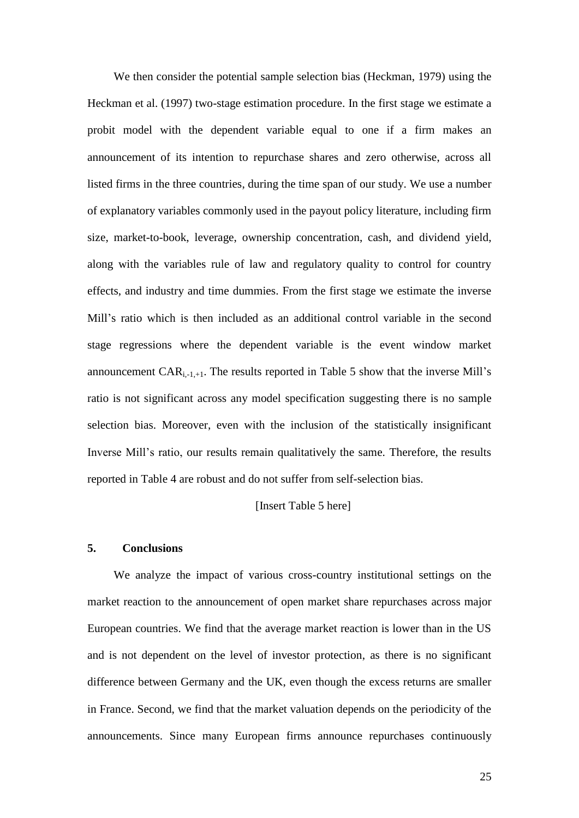We then consider the potential sample selection bias (Heckman, 1979) using the Heckman et al. (1997) two-stage estimation procedure. In the first stage we estimate a probit model with the dependent variable equal to one if a firm makes an announcement of its intention to repurchase shares and zero otherwise, across all listed firms in the three countries, during the time span of our study. We use a number of explanatory variables commonly used in the payout policy literature, including firm size, market-to-book, leverage, ownership concentration, cash, and dividend yield, along with the variables rule of law and regulatory quality to control for country effects, and industry and time dummies. From the first stage we estimate the inverse Mill's ratio which is then included as an additional control variable in the second stage regressions where the dependent variable is the event window market announcement  $CAR_{i,-1,+1}$ . The results reported in Table 5 show that the inverse Mill's ratio is not significant across any model specification suggesting there is no sample selection bias. Moreover, even with the inclusion of the statistically insignificant Inverse Mill's ratio, our results remain qualitatively the same. Therefore, the results reported in Table 4 are robust and do not suffer from self-selection bias.

## [Insert Table 5 here]

## **5. Conclusions**

We analyze the impact of various cross-country institutional settings on the market reaction to the announcement of open market share repurchases across major European countries. We find that the average market reaction is lower than in the US and is not dependent on the level of investor protection, as there is no significant difference between Germany and the UK, even though the excess returns are smaller in France. Second, we find that the market valuation depends on the periodicity of the announcements. Since many European firms announce repurchases continuously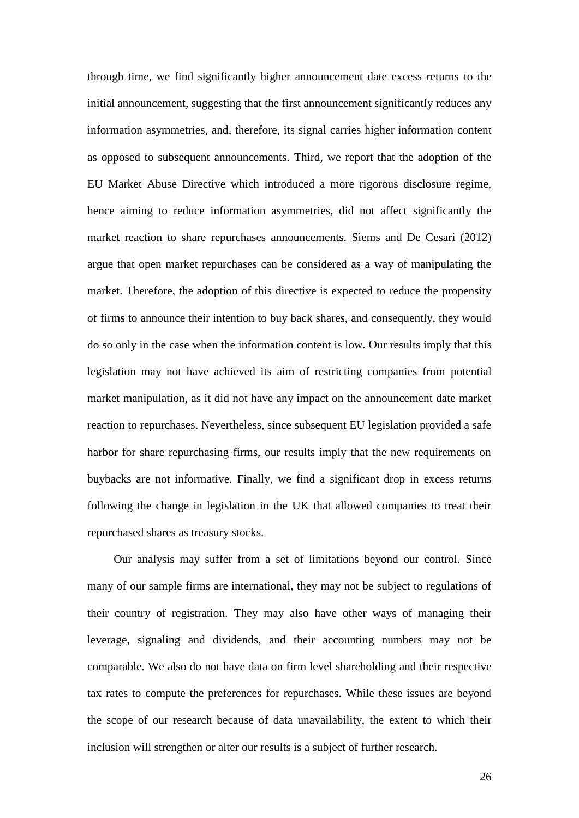through time, we find significantly higher announcement date excess returns to the initial announcement, suggesting that the first announcement significantly reduces any information asymmetries, and, therefore, its signal carries higher information content as opposed to subsequent announcements. Third, we report that the adoption of the EU Market Abuse Directive which introduced a more rigorous disclosure regime, hence aiming to reduce information asymmetries, did not affect significantly the market reaction to share repurchases announcements. Siems and De Cesari (2012) argue that open market repurchases can be considered as a way of manipulating the market. Therefore, the adoption of this directive is expected to reduce the propensity of firms to announce their intention to buy back shares, and consequently, they would do so only in the case when the information content is low. Our results imply that this legislation may not have achieved its aim of restricting companies from potential market manipulation, as it did not have any impact on the announcement date market reaction to repurchases. Nevertheless, since subsequent EU legislation provided a safe harbor for share repurchasing firms, our results imply that the new requirements on buybacks are not informative. Finally, we find a significant drop in excess returns following the change in legislation in the UK that allowed companies to treat their repurchased shares as treasury stocks.

Our analysis may suffer from a set of limitations beyond our control. Since many of our sample firms are international, they may not be subject to regulations of their country of registration. They may also have other ways of managing their leverage, signaling and dividends, and their accounting numbers may not be comparable. We also do not have data on firm level shareholding and their respective tax rates to compute the preferences for repurchases. While these issues are beyond the scope of our research because of data unavailability, the extent to which their inclusion will strengthen or alter our results is a subject of further research.

26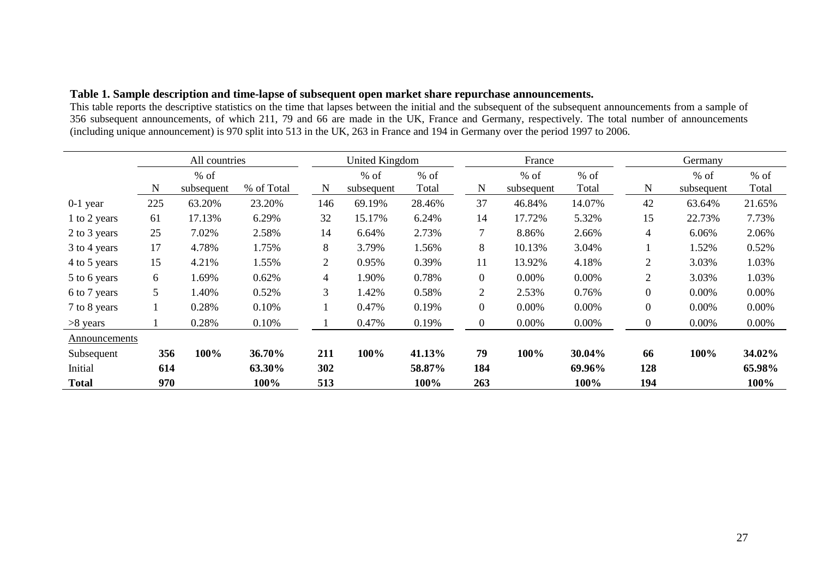|  |  |  | Table 1. Sample description and time-lapse of subsequent open market share repurchase announcements. |  |
|--|--|--|------------------------------------------------------------------------------------------------------|--|
|  |  |  |                                                                                                      |  |

This table reports the descriptive statistics on the time that lapses between the initial and the subsequent of the subsequent announcements from a sample of 356 subsequent announcements, of which 211, 79 and 66 are made in the UK, France and Germany, respectively. The total number of announcements (including unique announcement) is 970 split into 513 in the UK, 263 in France and 194 in Germany over the period 1997 to 2006.

|               |     | All countries        |            |                | <b>United Kingdom</b> |                 |                  | France               |                 |                  | Germany              |                 |  |  |
|---------------|-----|----------------------|------------|----------------|-----------------------|-----------------|------------------|----------------------|-----------------|------------------|----------------------|-----------------|--|--|
|               | N   | $%$ of<br>subsequent | % of Total | $\mathbf N$    | $%$ of<br>subsequent  | $%$ of<br>Total | N                | $%$ of<br>subsequent | $%$ of<br>Total | N                | $%$ of<br>subsequent | $%$ of<br>Total |  |  |
| $0-1$ year    | 225 | 63.20%               | 23.20%     | 146            | 69.19%                | 28.46%          | 37               | 46.84%               | 14.07%          | 42               | 63.64%               | 21.65%          |  |  |
| 1 to 2 years  | 61  | 17.13%               | 6.29%      | 32             | 15.17%                | 6.24%           | 14               | 17.72%               | 5.32%           | 15               | 22.73%               | 7.73%           |  |  |
| 2 to 3 years  | 25  | 7.02%                | 2.58%      | 14             | 6.64%                 | 2.73%           | $\overline{7}$   | 8.86%                | 2.66%           | $\overline{4}$   | 6.06%                | 2.06%           |  |  |
| 3 to 4 years  | 17  | 4.78%                | 1.75%      | 8              | 3.79%                 | 1.56%           | 8                | 10.13%               | 3.04%           |                  | 1.52%                | 0.52%           |  |  |
| 4 to 5 years  | 15  | 4.21%                | 1.55%      | $\overline{2}$ | 0.95%                 | 0.39%           | 11               | 13.92%               | 4.18%           | 2                | 3.03%                | 1.03%           |  |  |
| 5 to 6 years  | 6   | 1.69%                | 0.62%      | 4              | 1.90%                 | 0.78%           | $\boldsymbol{0}$ | 0.00%                | 0.00%           | $\overline{2}$   | 3.03%                | 1.03%           |  |  |
| 6 to 7 years  | 5   | 1.40%                | 0.52%      | 3              | 1.42%                 | 0.58%           | $\overline{2}$   | 2.53%                | 0.76%           | $\mathbf{0}$     | 0.00%                | 0.00%           |  |  |
| 7 to 8 years  |     | 0.28%                | 0.10%      |                | 0.47%                 | 0.19%           | $\overline{0}$   | 0.00%                | 0.00%           | $\boldsymbol{0}$ | 0.00%                | 0.00%           |  |  |
| $>8$ years    |     | 0.28%                | 0.10%      |                | 0.47%                 | 0.19%           | $\boldsymbol{0}$ | 0.00%                | 0.00%           | $\boldsymbol{0}$ | 0.00%                | $0.00\%$        |  |  |
| Announcements |     |                      |            |                |                       |                 |                  |                      |                 |                  |                      |                 |  |  |
| Subsequent    | 356 | 100%                 | 36.70%     | 211            | 100%                  | 41.13%          | 79               | 100%                 | 30.04%          | 66               | 100%                 | 34.02%          |  |  |
| Initial       | 614 |                      | 63.30%     | 302            |                       | 58.87%          | 184              |                      | 69.96%          | 128              |                      | 65.98%          |  |  |
| <b>Total</b>  | 970 |                      | 100%       | 513            |                       | 100%            | 263              |                      | 100%            | 194              |                      | 100%            |  |  |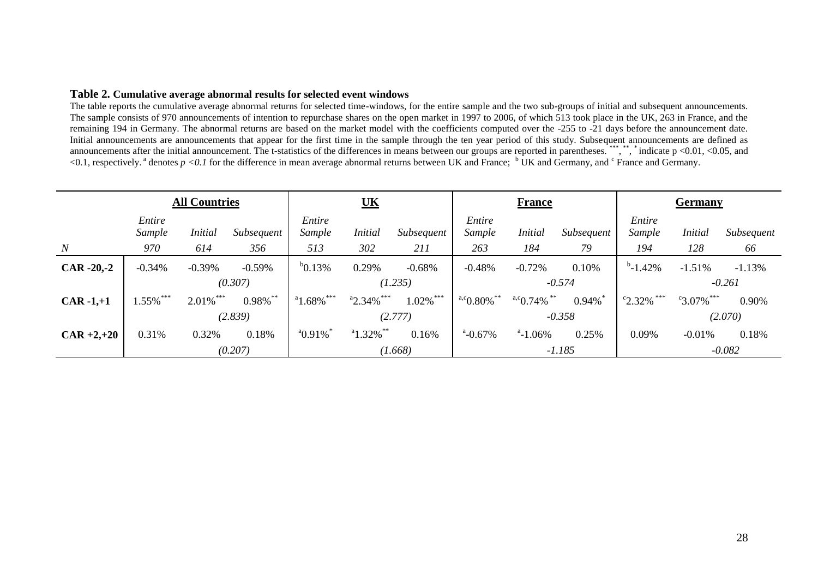#### **Table 2. Cumulative average abnormal results for selected event windows**

The table reports the cumulative average abnormal returns for selected time-windows, for the entire sample and the two sub-groups of initial and subsequent announcements. The sample consists of 970 announcements of intention to repurchase shares on the open market in 1997 to 2006, of which 513 took place in the UK, 263 in France, and the remaining 194 in Germany. The abnormal returns are based on the market model with the coefficients computed over the -255 to -21 days before the announcement date. Initial announcements are announcements that appear for the first time in the sample through the ten year period of this study. Subsequent announcements are defined as announcements after the initial announcement. The t-statistics of the differences in means between our groups are reported in parentheses. \*\*\*, \*\*, \*\*, indicate p <0.01, <0.05, and <0.1, respectively.<sup>a</sup> denotes  $p \ll 0.1$  for the difference in mean average abnormal returns between UK and France; <sup>b</sup> UK and Germany, and <sup>c</sup> France and Germany.

|                  | <b>All Countries</b> |                |             | $\underline{\mathbf{UK}}$       |                              |              |                        | <b>France</b>             |            | <b>Germany</b>                  |                     |            |  |
|------------------|----------------------|----------------|-------------|---------------------------------|------------------------------|--------------|------------------------|---------------------------|------------|---------------------------------|---------------------|------------|--|
|                  | Entire<br>Sample     | <b>Initial</b> | Subsequent  | Entire<br>Sample                | <b>Initial</b><br>Subsequent |              | Entire<br>Sample       | <b>Initial</b>            | Subsequent | Entire<br>Sample                | <b>Initial</b>      | Subsequent |  |
| $\boldsymbol{N}$ | 970                  | 614            | 356         | 513                             | 302                          | 211          | 263                    | 184                       | 79         | 194                             | 128                 | 66         |  |
| $CAR -20,-2$     | $-0.34%$             | $-0.39%$       | $-0.59%$    | $b$ 0.13%                       | 0.29%                        | $-0.68%$     | $-0.48%$               | $-0.72%$                  | 0.10%      | $b$ -1.42%                      | $-1.51%$            | $-1.13%$   |  |
|                  |                      |                | (0.307)     |                                 | (1.235)                      |              | $-0.574$               |                           |            |                                 |                     | $-0.261$   |  |
| $CAR -1,+1$      | $1.55\%$ ***         | $2.01\%$ ***   | $0.98\%$ ** | $^{\circ}1.68\%$ <sup>***</sup> | $a_{2.34\%}$ ***             | $1.02\%$ *** | $^{a,c}$ 0.80% $^{**}$ | $\cdot a \cdot 0.74\%$ ** | 0.94%      | $\frac{c_{2.32\%}}{c_{2.32\%}}$ | $\degree$ 3.07% *** | 0.90%      |  |
|                  |                      |                | (2.839)     |                                 | (2.777)                      |              | $-0.358$               |                           |            |                                 |                     | (2.070)    |  |
| $CAR +2,+20$     | 0.31%                | 0.32%          | 0.18%       | $^{a}$ 0.91%                    | $^a$ 1.32% $^{**}$           | 0.16%        | $^a$ -0.67%            | $^a$ -1.06%               | 0.25%      | 0.09%                           | $-0.01%$            | 0.18%      |  |
|                  |                      |                | (0.207)     |                                 |                              | (1.668)      |                        |                           | $-1.185$   |                                 | $-0.082$            |            |  |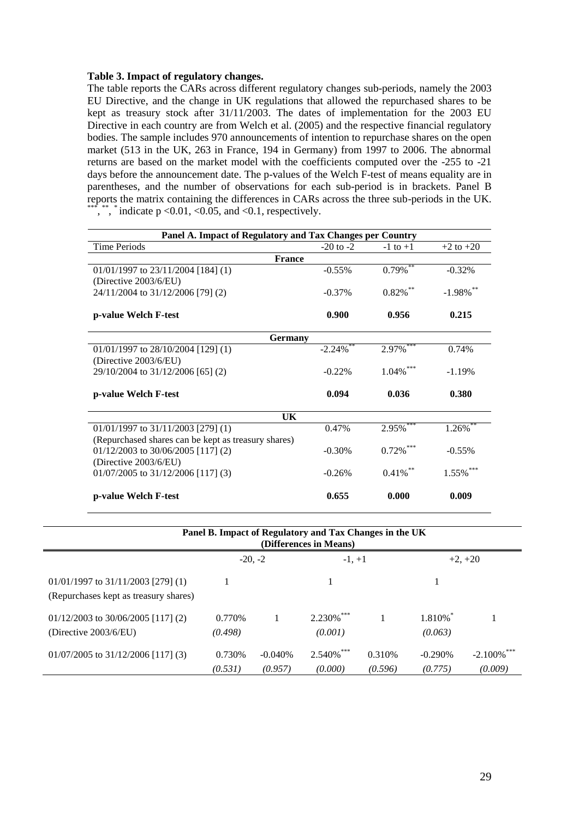#### **Table 3. Impact of regulatory changes.**

The table reports the CARs across different regulatory changes sub-periods, namely the 2003 EU Directive, and the change in UK regulations that allowed the repurchased shares to be kept as treasury stock after 31/11/2003. The dates of implementation for the 2003 EU Directive in each country are from Welch et al. (2005) and the respective financial regulatory bodies. The sample includes 970 announcements of intention to repurchase shares on the open market (513 in the UK, 263 in France, 194 in Germany) from 1997 to 2006. The abnormal returns are based on the market model with the coefficients computed over the -255 to -21 days before the announcement date. The p-values of the Welch F-test of means equality are in parentheses, and the number of observations for each sub-period is in brackets. Panel B reports the matrix containing the differences in CARs across the three sub-periods in the UK. \*\*\*, \*\*, \*\* indicate p < 0.01, < 0.05, and < 0.1, respectively.

| Panel A. Impact of Regulatory and Tax Changes per Country |               |                        |               |  |  |  |  |  |  |  |  |  |  |
|-----------------------------------------------------------|---------------|------------------------|---------------|--|--|--|--|--|--|--|--|--|--|
| <b>Time Periods</b>                                       | $-20$ to $-2$ | $-1$ to $+1$           | $+2$ to $+20$ |  |  |  |  |  |  |  |  |  |  |
| <b>France</b>                                             |               |                        |               |  |  |  |  |  |  |  |  |  |  |
| 01/01/1997 to 23/11/2004 [184] (1)                        | $-0.55\%$     | $0.79\overline{\%}$ ** | $-0.32%$      |  |  |  |  |  |  |  |  |  |  |
| (Directive $2003/6/EU$ )                                  |               |                        |               |  |  |  |  |  |  |  |  |  |  |
| 24/11/2004 to 31/12/2006 [79] (2)                         | $-0.37\%$     | $0.82\%$ **            | $-1.98\%$ **  |  |  |  |  |  |  |  |  |  |  |
| p-value Welch F-test                                      | 0.900         | 0.956                  | 0.215         |  |  |  |  |  |  |  |  |  |  |
| <b>Germany</b>                                            |               |                        |               |  |  |  |  |  |  |  |  |  |  |
| $01/01/1997$ to $28/10/2004$ [129] (1)                    | $-2.24\%$ **  | $2.97\%$ ***           | 0.74%         |  |  |  |  |  |  |  |  |  |  |
| (Directive $2003/6/EU$ )                                  |               |                        |               |  |  |  |  |  |  |  |  |  |  |
| 29/10/2004 to 31/12/2006 [65] (2)                         | $-0.22\%$     | $1.04\%$ ***           | $-1.19%$      |  |  |  |  |  |  |  |  |  |  |
| p-value Welch F-test                                      | 0.094         | 0.036                  | 0.380         |  |  |  |  |  |  |  |  |  |  |
| <b>UK</b>                                                 |               |                        |               |  |  |  |  |  |  |  |  |  |  |
| $01/01/1997$ to $31/11/2003$ [279] (1)                    | 0.47%         | 2.95%                  | $1.26\%$      |  |  |  |  |  |  |  |  |  |  |
| (Repurchased shares can be kept as treasury shares)       |               |                        |               |  |  |  |  |  |  |  |  |  |  |
| $01/12/2003$ to 30/06/2005 [117] (2)                      | $-0.30%$      | $0.72\%$ ***           | $-0.55%$      |  |  |  |  |  |  |  |  |  |  |
| (Directive $2003/6/EU$ )                                  |               |                        |               |  |  |  |  |  |  |  |  |  |  |
| $01/07/2005$ to $31/12/2006$ [117] (3)                    | $-0.26%$      | $0.41\%$ **            | $1.55\%$ ***  |  |  |  |  |  |  |  |  |  |  |
| p-value Welch F-test                                      | 0.655         | 0.000                  | 0.009         |  |  |  |  |  |  |  |  |  |  |

| Panel B. Impact of Regulatory and Tax Changes in the UK<br>(Differences in Means) |                    |                      |                          |                    |                      |                       |  |  |  |  |  |  |  |  |
|-----------------------------------------------------------------------------------|--------------------|----------------------|--------------------------|--------------------|----------------------|-----------------------|--|--|--|--|--|--|--|--|
|                                                                                   |                    | $-20, -2$            | $-1, +1$                 |                    |                      | $+2, +20$             |  |  |  |  |  |  |  |  |
| $01/01/1997$ to $31/11/2003$ [279] (1)<br>(Repurchases kept as treasury shares)   |                    |                      |                          |                    |                      |                       |  |  |  |  |  |  |  |  |
| $01/12/2003$ to 30/06/2005 [117] (2)<br>(Directive $2003/6/EU$ )                  | 0.770\%<br>(0.498) |                      | $2.230\%$ ***<br>(0.001) |                    | 1.810%<br>(0.063)    |                       |  |  |  |  |  |  |  |  |
| $01/07/2005$ to $31/12/2006$ [117] (3)                                            | 0.730\%<br>(0.531) | $-0.040%$<br>(0.957) | $2.540\%$ ***<br>(0.000) | 0.310\%<br>(0.596) | $-0.290%$<br>(0.775) | $-2.100\%$<br>(0.009) |  |  |  |  |  |  |  |  |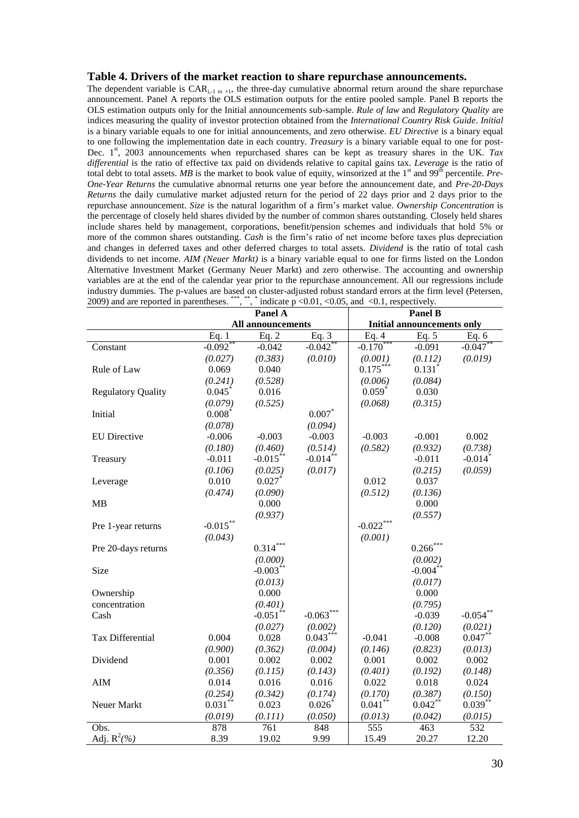#### **Table 4. Drivers of the market reaction to share repurchase announcements.**

The dependent variable is  $CAR_{i-1}$  to  $+i$ , the three-day cumulative abnormal return around the share repurchase announcement. Panel A reports the OLS estimation outputs for the entire pooled sample. Panel B reports the OLS estimation outputs only for the Initial announcements sub-sample. *Rule of law* and *Regulatory Quality* are indices measuring the quality of investor protection obtained from the *International Country Risk Guide*. *Initial* is a binary variable equals to one for initial announcements, and zero otherwise. *EU Directive* is a binary equal to one following the implementation date in each country. *Treasury* is a binary variable equal to one for post-Dec. 1<sup>st</sup>, 2003 announcements when repurchased shares can be kept as treasury shares in the UK. *Tax differential* is the ratio of effective tax paid on dividends relative to capital gains tax. *Leverage* is the ratio of total debt to total assets. *MB* is the market to book value of equity, winsorized at the 1<sup>st</sup> and 99<sup>th</sup> percentile. *Pre-One-Year Returns* the cumulative abnormal returns one year before the announcement date, and *Pre-20-Days Returns* the daily cumulative market adjusted return for the period of 22 days prior and 2 days prior to the repurchase announcement. *Size* is the natural logarithm of a firm's market value. *Ownership Concentration* is the percentage of closely held shares divided by the number of common shares outstanding. Closely held shares include shares held by management, corporations, benefit/pension schemes and individuals that hold 5% or more of the common shares outstanding. *Cash* is the firm's ratio of net income before taxes plus depreciation and changes in deferred taxes and other deferred charges to total assets. *Dividend* is the ratio of total cash dividends to net income. *AIM (Neuer Markt)* is a binary variable equal to one for firms listed on the London Alternative Investment Market (Germany Neuer Markt) and zero otherwise. The accounting and ownership variables are at the end of the calendar year prior to the repurchase announcement. All our regressions include industry dummies. The p-values are based on cluster-adjusted robust standard errors at the firm level (Petersen, 2009) and are reported in parentheses. \*\*\*, \*\*, \* indicate  $p \le 0.01$ ,  $\le 0.05$ , and  $\le 0.1$ , respectively.

|                           |                    | Panel A                |                        | Panel B      |                                   |                       |  |  |  |  |
|---------------------------|--------------------|------------------------|------------------------|--------------|-----------------------------------|-----------------------|--|--|--|--|
|                           |                    | All announcements      |                        |              | <b>Initial announcements only</b> |                       |  |  |  |  |
|                           | Eq. $\overline{1}$ | Eq. $2$                | Eq. $3$                | Eq. $4$      | Eq. $5$                           | Eq. $6$               |  |  |  |  |
| Constant                  | $-0.092$ **        | $-0.042$               | $-0.042$               | $-0.170^*$   | $-0.091$                          | $-0.047$              |  |  |  |  |
|                           | (0.027)            | (0.383)                | (0.010)                | (0.001)      | (0.112)                           | (0.019)               |  |  |  |  |
| Rule of Law               | 0.069              | 0.040                  |                        | $0.175***$   | $0.131$ <sup>*</sup>              |                       |  |  |  |  |
|                           | (0.241)            | (0.528)                |                        | (0.006)      | (0.084)                           |                       |  |  |  |  |
| <b>Regulatory Quality</b> | 0.045              | 0.016                  |                        | $0.059*$     | 0.030                             |                       |  |  |  |  |
|                           | (0.079)            | (0.525)                |                        | (0.068)      | (0.315)                           |                       |  |  |  |  |
| Initial                   | $0.008^*$          |                        | 0.007                  |              |                                   |                       |  |  |  |  |
|                           | (0.078)            |                        | (0.094)                |              |                                   |                       |  |  |  |  |
| <b>EU</b> Directive       | $-0.006$           | $-0.003$               | $-0.003$               | $-0.003$     | $-0.001$                          | 0.002                 |  |  |  |  |
|                           | (0.180)            | (0.460)                | (0.514)                | (0.582)      | (0.932)                           | (0.738)               |  |  |  |  |
| Treasury                  | $-0.011$           | $-0.015$ <sup>**</sup> | $-0.014$ <sup>**</sup> |              | $-0.011$                          | $-0.014$ <sup>*</sup> |  |  |  |  |
|                           | (0.106)            | (0.025)                | (0.017)                |              | (0.215)                           | (0.059)               |  |  |  |  |
| Leverage                  | 0.010              | 0.027                  |                        | 0.012        | 0.037                             |                       |  |  |  |  |
|                           | (0.474)            | (0.090)                |                        | (0.512)      | (0.136)                           |                       |  |  |  |  |
| MB                        |                    | 0.000                  |                        |              | 0.000                             |                       |  |  |  |  |
|                           |                    | (0.937)                |                        |              | (0.557)                           |                       |  |  |  |  |
| Pre 1-year returns        | $-0.015***$        |                        |                        | $-0.022$ *** |                                   |                       |  |  |  |  |
|                           | (0.043)            |                        |                        | (0.001)      |                                   |                       |  |  |  |  |
| Pre 20-days returns       |                    | $0.314***$             |                        |              | $0.266***$                        |                       |  |  |  |  |
|                           |                    | (0.000)                |                        |              | (0.002)                           |                       |  |  |  |  |
| Size                      |                    | $-0.003**$             |                        |              | $-0.004$ **                       |                       |  |  |  |  |
|                           |                    | (0.013)                |                        |              | (0.017)                           |                       |  |  |  |  |
| Ownership                 |                    | 0.000                  |                        |              | 0.000                             |                       |  |  |  |  |
| concentration             |                    | (0.401)                |                        |              | (0.795)                           |                       |  |  |  |  |
| Cash                      |                    | $-0.051$ <sup>**</sup> | $-0.063***$            |              | $-0.039$                          | $-0.054$ **           |  |  |  |  |
|                           |                    | (0.027)                | (0.002)                |              | (0.120)                           | (0.021)               |  |  |  |  |
| Tax Differential          | 0.004              | 0.028                  | $0.043***$             | $-0.041$     | $-0.008$                          | $0.047**$             |  |  |  |  |
|                           | (0.900)            | (0.362)                | (0.004)                | (0.146)      | (0.823)                           | (0.013)               |  |  |  |  |
| Dividend                  | 0.001              | 0.002                  | 0.002                  | 0.001        | 0.002                             | 0.002                 |  |  |  |  |
|                           | (0.356)            | (0.115)                | (0.143)                | (0.401)      | (0.192)                           | (0.148)               |  |  |  |  |
| <b>AIM</b>                | 0.014              | 0.016                  | 0.016                  | 0.022        | 0.018                             | 0.024                 |  |  |  |  |
|                           | (0.254)            | (0.342)                | (0.174)                | (0.170)      | (0.387)                           | (0.150)               |  |  |  |  |
| Neuer Markt               | $0.031***$         | 0.023                  | $0.026*$               | $0.041**$    | $0.042$ **                        | $0.039***$            |  |  |  |  |
|                           | (0.019)            | (0.111)                | (0.050)                | (0.013)      | (0.042)                           | (0.015)               |  |  |  |  |
| Obs.                      | 878                | 761                    | 848                    | 555          | 463                               | 532                   |  |  |  |  |
| Adj. $R^2(\%)$            | 8.39               | 19.02                  | 9.99                   | 15.49        | 20.27                             | 12.20                 |  |  |  |  |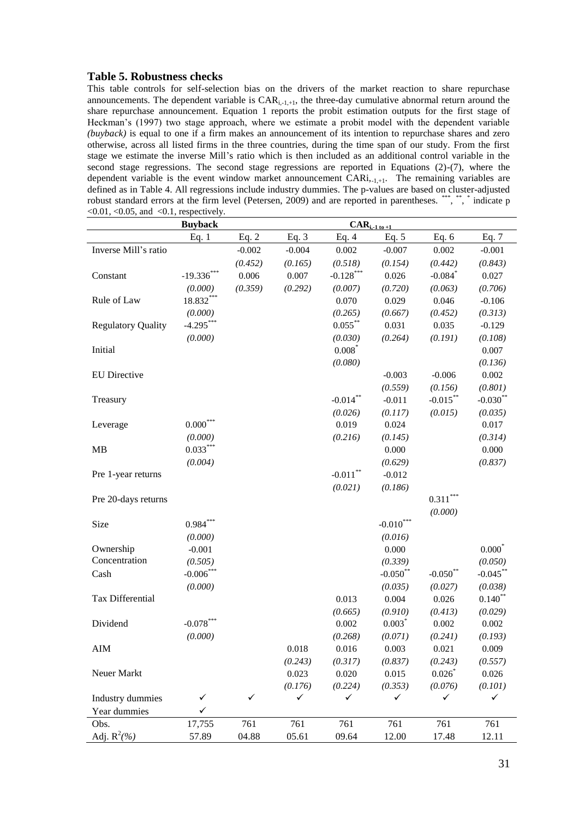#### **Table 5. Robustness checks**

This table controls for self-selection bias on the drivers of the market reaction to share repurchase announcements. The dependent variable is  $CAR_{i-1,+1}$ , the three-day cumulative abnormal return around the share repurchase announcement. Equation 1 reports the probit estimation outputs for the first stage of Heckman's (1997) two stage approach, where we estimate a probit model with the dependent variable *(buyback)* is equal to one if a firm makes an announcement of its intention to repurchase shares and zero otherwise, across all listed firms in the three countries, during the time span of our study. From the first stage we estimate the inverse Mill's ratio which is then included as an additional control variable in the second stage regressions. The second stage regressions are reported in Equations (2)-(7), where the dependent variable is the event window market announcement  $\widehat{CARi}, _{1,1}$ . The remaining variables are defined as in Table 4. All regressions include industry dummies. The p-values are based on cluster-adjusted robust standard errors at the firm level (Petersen, 2009) and are reported in parentheses. \*\*\*, \*\*, \* indicate p  $\langle 0.01, \langle 0.05, \text{ and } \langle 0.1, \text{ respectively.} \rangle$ 

|                           | <b>Buyback</b> |              |              | $CAR_{i, \underline{-1 \text{ to } +1}}$ |              |                        |              |
|---------------------------|----------------|--------------|--------------|------------------------------------------|--------------|------------------------|--------------|
|                           | Eq. $1$        | Eq. $2$      | Eq. $3$      | Eq. $4$                                  | Eq. $5$      | Eq. $6$                | Eq. $7$      |
| Inverse Mill's ratio      |                | $-0.002$     | $-0.004$     | 0.002                                    | $-0.007$     | 0.002                  | $-0.001$     |
|                           |                | (0.452)      | (0.165)      | (0.518)                                  | (0.154)      | (0.442)                | (0.843)      |
| Constant                  | $-19.336***$   | 0.006        | 0.007        | $-0.128$ ***                             | 0.026        | $-0.084$               | 0.027        |
|                           | (0.000)        | (0.359)      | (0.292)      | (0.007)                                  | (0.720)      | (0.063)                | (0.706)      |
| Rule of Law               | 18.832***      |              |              | 0.070                                    | 0.029        | 0.046                  | $-0.106$     |
|                           | (0.000)        |              |              | (0.265)                                  | (0.667)      | (0.452)                | (0.313)      |
| <b>Regulatory Quality</b> | $-4.295***$    |              |              | $0.055***$                               | 0.031        | 0.035                  | $-0.129$     |
|                           | (0.000)        |              |              | (0.030)                                  | (0.264)      | (0.191)                | (0.108)      |
| Initial                   |                |              |              | $0.008*$                                 |              |                        | 0.007        |
|                           |                |              |              | (0.080)                                  |              |                        | (0.136)      |
| <b>EU</b> Directive       |                |              |              |                                          | $-0.003$     | $-0.006$               | 0.002        |
|                           |                |              |              |                                          | (0.559)      | (0.156)                | (0.801)      |
| Treasury                  |                |              |              | $-0.014$ **                              | $-0.011$     | $-0.015***$            | $-0.030**$   |
|                           |                |              |              | (0.026)                                  | (0.117)      | (0.015)                | (0.035)      |
| Leverage                  | $0.000^{***}$  |              |              | 0.019                                    | 0.024        |                        | 0.017        |
|                           | (0.000)        |              |              | (0.216)                                  | (0.145)      |                        | (0.314)      |
| <b>MB</b>                 | $0.033***$     |              |              |                                          | 0.000        |                        | 0.000        |
|                           | (0.004)        |              |              |                                          | (0.629)      |                        | (0.837)      |
| Pre 1-year returns        |                |              |              | $-0.011$ **                              | $-0.012$     |                        |              |
|                           |                |              |              | (0.021)                                  | (0.186)      |                        |              |
| Pre 20-days returns       |                |              |              |                                          |              | $0.311^{\ast\ast\ast}$ |              |
|                           |                |              |              |                                          |              | (0.000)                |              |
| Size                      | $0.984***$     |              |              |                                          | $-0.010***$  |                        |              |
|                           | (0.000)        |              |              |                                          | (0.016)      |                        |              |
| Ownership                 | $-0.001$       |              |              |                                          | 0.000        |                        | $0.000*$     |
| Concentration             | (0.505)        |              |              |                                          | (0.339)      |                        | (0.050)      |
| Cash                      | $-0.006$ ***   |              |              |                                          | $-0.050**$   | $-0.050**$             | $-0.045***$  |
|                           | (0.000)        |              |              |                                          | (0.035)      | (0.027)                | (0.038)      |
| Tax Differential          |                |              |              | 0.013                                    | 0.004        | 0.026                  | $0.140$ **   |
|                           |                |              |              | (0.665)                                  | (0.910)      | (0.413)                | (0.029)      |
| Dividend                  | $-0.078***$    |              |              | 0.002                                    | $0.003*$     | 0.002                  | 0.002        |
|                           | (0.000)        |              |              | (0.268)                                  | (0.071)      | (0.241)                | (0.193)      |
| AIM                       |                |              | 0.018        | 0.016                                    | 0.003        | 0.021                  | 0.009        |
|                           |                |              | (0.243)      | (0.317)                                  | (0.837)      | (0.243)                | (0.557)      |
| Neuer Markt               |                |              | 0.023        | 0.020                                    | 0.015        | $0.026*$               | 0.026        |
|                           |                |              | (0.176)      | (0.224)                                  | (0.353)      | (0.076)                | (0.101)      |
| Industry dummies          | $\checkmark$   | $\checkmark$ | $\checkmark$ | ✓                                        | $\checkmark$ | ✓                      | $\checkmark$ |
| Year dummies              | $\checkmark$   |              |              |                                          |              |                        |              |
| Obs.                      | 17,755         | 761          | 761          | 761                                      | 761          | 761                    | 761          |
| Adj. $R^2(\%)$            | 57.89          | 04.88        | 05.61        | 09.64                                    | 12.00        | 17.48                  | 12.11        |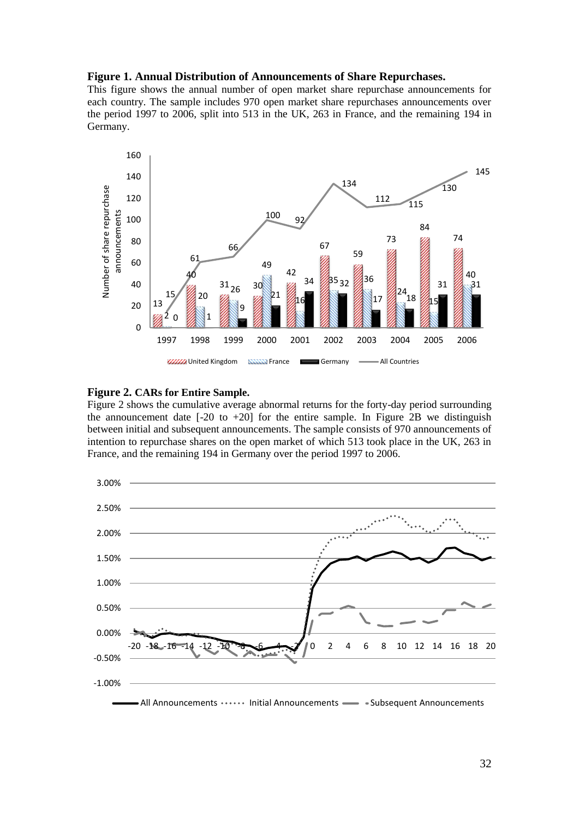#### **Figure 1. Annual Distribution of Announcements of Share Repurchases.**

This figure shows the annual number of open market share repurchase announcements for each country. The sample includes 970 open market share repurchases announcements over the period 1997 to 2006, split into 513 in the UK, 263 in France, and the remaining 194 in Germany.



#### **Figure 2. CARs for Entire Sample.**

Figure 2 shows the cumulative average abnormal returns for the forty-day period surrounding the announcement date  $[-20 \text{ to } +20]$  for the entire sample. In Figure 2B we distinguish between initial and subsequent announcements. The sample consists of 970 announcements of intention to repurchase shares on the open market of which 513 took place in the UK, 263 in France, and the remaining 194 in Germany over the period 1997 to 2006.

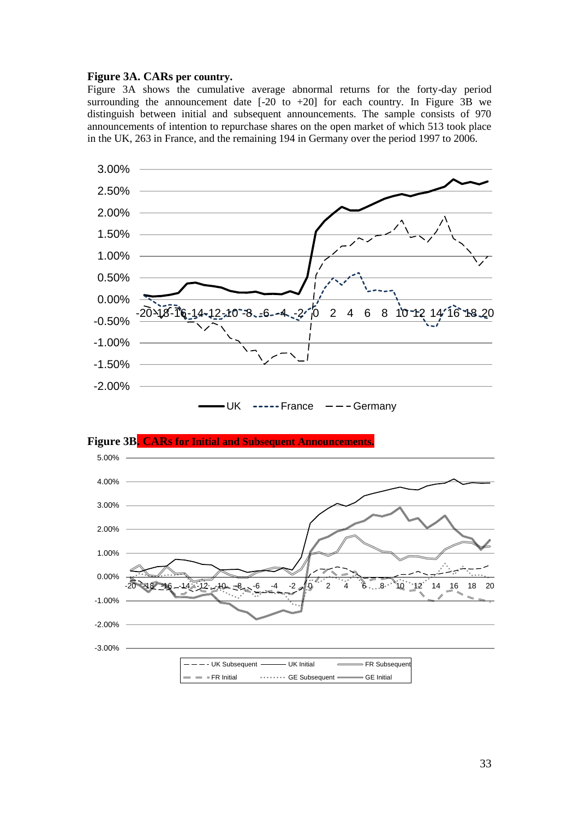#### **Figure 3A. CARs per country.**

Figure 3A shows the cumulative average abnormal returns for the forty-day period surrounding the announcement date  $[-20 \text{ to } +20]$  for each country. In Figure 3B we distinguish between initial and subsequent announcements. The sample consists of 970 announcements of intention to repurchase shares on the open market of which 513 took place in the UK, 263 in France, and the remaining 194 in Germany over the period 1997 to 2006.





**Figure 3B. CARs for Initial and Subsequent Announcements.**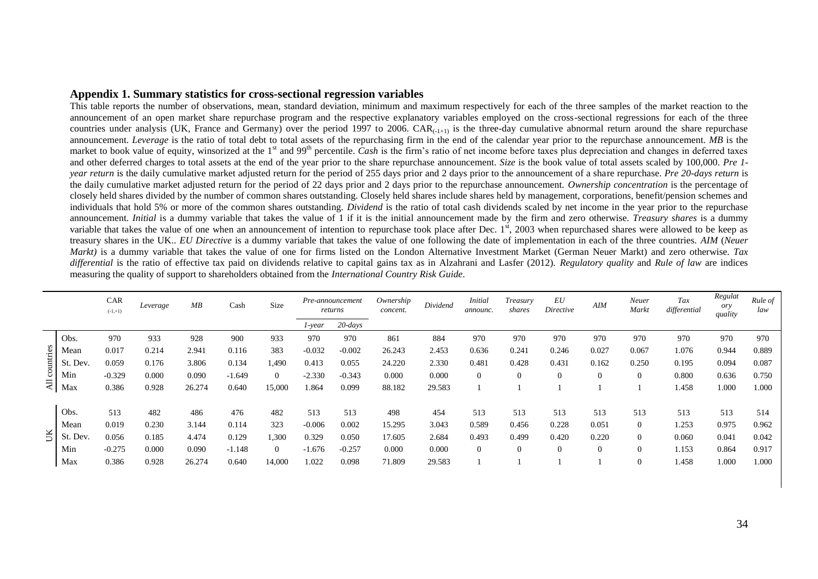#### **Appendix 1. Summary statistics for cross-sectional regression variables**

This table reports the number of observations, mean, standard deviation, minimum and maximum respectively for each of the three samples of the market reaction to the announcement of an open market share repurchase program and the respective explanatory variables employed on the cross-sectional regressions for each of the three countries under analysis (UK, France and Germany) over the period 1997 to 2006. CAR $_{(-1+1)}$  is the three-day cumulative abnormal return around the share repurchase announcement. *Leverage* is the ratio of total debt to total assets of the repurchasing firm in the end of the calendar year prior to the repurchase announcement. *MB* is the market to book value of equity, winsorized at the 1<sup>st</sup> and 99<sup>th</sup> percentile. *Cash* is the firm's ratio of net income before taxes plus depreciation and changes in deferred taxes and other deferred charges to total assets at the end of the year prior to the share repurchase announcement. *Size* is the book value of total assets scaled by 100,000. *Pre 1 year return* is the daily cumulative market adjusted return for the period of 255 days prior and 2 days prior to the announcement of a share repurchase. *Pre 20-days return* is the daily cumulative market adjusted return for the period of 22 days prior and 2 days prior to the repurchase announcement. *Ownership concentration* is the percentage of closely held shares divided by the number of common shares outstanding. Closely held shares include shares held by management, corporations, benefit/pension schemes and individuals that hold 5% or more of the common shares outstanding. *Dividend* is the ratio of total cash dividends scaled by net income in the year prior to the repurchase announcement. *Initial* is a dummy variable that takes the value of 1 if it is the initial announcement made by the firm and zero otherwise. *Treasury shares* is a dummy variable that takes the value of one when an announcement of intention to repurchase took place after Dec.  $1<sup>st</sup>$ , 2003 when repurchased shares were allowed to be keep as treasury shares in the UK.. *EU Directive* is a dummy variable that takes the value of one following the date of implementation in each of the three countries. *AIM* (*Neuer Markt)* is a dummy variable that takes the value of one for firms listed on the London Alternative Investment Market (German Neuer Markt) and zero otherwise. *Tax differential* is the ratio of effective tax paid on dividends relative to capital gains tax as in Alzahrani and Lasfer (2012). *Regulatory quality* and *Rule of law* are indices measuring the quality of support to shareholders obtained from the *International Country Risk Guide*.

|                |               | CAR<br>$(-1,+1)$ | Leverage | MB     | Cash     | Size           |          | Pre-announcement<br>returns | Ownership<br>concent. | Dividend | <i>Initial</i><br>announc. | Treasury<br>shares | EU<br>Directive | AIM            | Neuer<br>Markt | Tax<br>differential | Regulat<br>ory<br>quality | Rule of<br>law |
|----------------|---------------|------------------|----------|--------|----------|----------------|----------|-----------------------------|-----------------------|----------|----------------------------|--------------------|-----------------|----------------|----------------|---------------------|---------------------------|----------------|
|                |               |                  |          |        |          |                | 1-year   | $20$ -days                  |                       |          |                            |                    |                 |                |                |                     |                           |                |
|                | Obs.          | 970              | 933      | 928    | 900      | 933            | 970      | 970                         | 861                   | 884      | 970                        | 970                | 970             | 970            | 970            | 970                 | 970                       | 970            |
|                | Mean          | 0.017            | 0.214    | 2.941  | 0.116    | 383            | $-0.032$ | $-0.002$                    | 26.243                | 2.453    | 0.636                      | 0.241              | 0.246           | 0.027          | 0.067          | 1.076               | 0.944                     | 0.889          |
| countries      | . Dev.<br>-St | 0.059            | 0.176    | 3.806  | 0.134    | 1,490          | 0.413    | 0.055                       | 24.220                | 2.330    | 0.481                      | 0.428              | 0.431           | 0.162          | 0.250          | 0.195               | 0.094                     | 0.087          |
|                | Min           | $-0.329$         | 0.000    | 0.090  | $-1.649$ | $\overline{0}$ | $-2.330$ | $-0.343$                    | 0.000                 | 0.000    | $\mathbf{0}$               | $\overline{0}$     | $\theta$        | $\overline{0}$ | $\overline{0}$ | 0.800               | 0.636                     | 0.750          |
| $\overline{z}$ | Max           | 0.386            | 0.928    | 26.274 | 0.640    | 15,000         | 1.864    | 0.099                       | 88.182                | 29.583   |                            |                    |                 |                |                | 1.458               | 1.000                     | 1.000          |
|                | Obs.          | 513              | 482      | 486    | 476      | 482            | 513      | 513                         | 498                   | 454      | 513                        | 513                | 513             | 513            | 513            | 513                 | 513                       | 514            |
|                | Mean          | 0.019            | 0.230    | 3.144  | 0.114    | 323            | $-0.006$ | 0.002                       | 15.295                | 3.043    | 0.589                      | 0.456              | 0.228           | 0.051          | $\overline{0}$ | .253                | 0.975                     | 0.962          |
| Ĕ              | Dev.<br>-St   | 0.056            | 0.185    | 4.474  | 0.129    | 1,300          | 0.329    | 0.050                       | 17.605                | 2.684    | 0.493                      | 0.499              | 0.420           | 0.220          | $\overline{0}$ | 0.060               | 0.041                     | 0.042          |
|                | Min           | $-0.275$         | 0.000    | 0.090  | $-1.148$ | $\overline{0}$ | $-1.676$ | $-0.257$                    | 0.000                 | 0.000    | $\theta$                   | $\mathbf{0}$       | $\theta$        | $\mathbf{0}$   | $\overline{0}$ | 1.153               | 0.864                     | 0.917          |
|                | Max           | 0.386            | 0.928    | 26.274 | 0.640    | 14,000         | 1.022    | 0.098                       | 71.809                | 29.583   |                            |                    |                 |                | $\overline{0}$ | 1.458               | 1.000                     | 1.000          |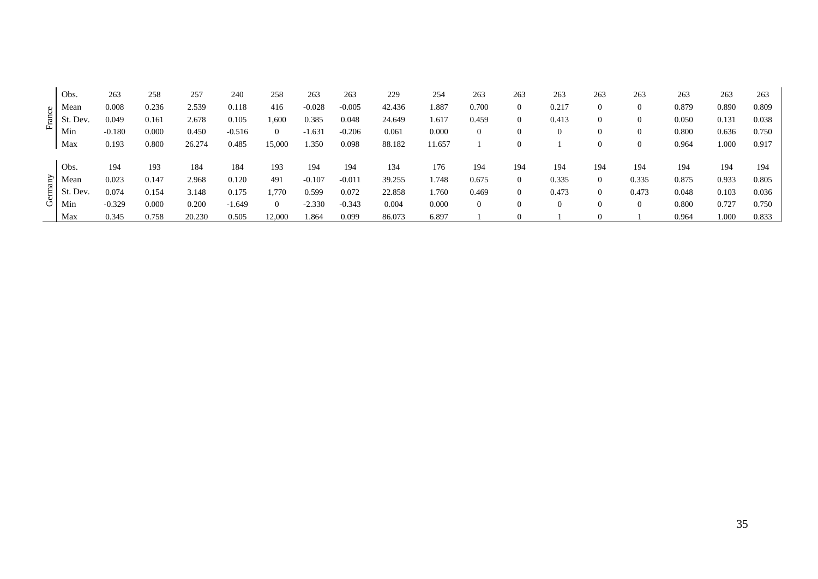|         | Obs.           | 263      | 258   | 257    | 240      | 258            | 263      | 263      | 229    | 254   | 263              | 263              | 263          | 263            | 263   | 263   | 263   | 263   |
|---------|----------------|----------|-------|--------|----------|----------------|----------|----------|--------|-------|------------------|------------------|--------------|----------------|-------|-------|-------|-------|
|         | Mean           | 0.008    | 0.236 | 2.539  | 0.118    | 416            | $-0.028$ | $-0.005$ | 42.436 | 1.887 | 0.700            | $\overline{0}$   | 0.217        | $\bf{0}$       |       | 0.879 | 0.890 | 0.809 |
| France  | . Dev.<br>- St | 0.049    | 0.161 | 2.678  | 0.105    | 1,600          | 0.385    | 0.048    | 24.649 | 1.617 | 0.459            | $\overline{0}$   | 0.413        | $\overline{0}$ |       | 0.050 | 0.131 | 0.038 |
|         | Min            | $-0.180$ | 0.000 | 0.450  | $-0.516$ | $\overline{0}$ | $-1.631$ | $-0.206$ | 0.061  | 0.000 | $\boldsymbol{0}$ | $\boldsymbol{0}$ | $\theta$     | $\overline{0}$ |       | 0.800 | 0.636 | 0.750 |
|         | Max            | 0.193    | 0.800 | 26.274 | 0.485    | 15,000         | 1.350    | 0.098    | 88.182 | 1.657 |                  | $\theta$         |              | $\theta$       |       | 0.964 | 1.000 | 0.917 |
|         |                |          |       |        |          |                |          |          |        |       |                  |                  |              |                |       |       |       |       |
|         | Obs.           | 194      | 193   | 184    | 184      | 193            | 194      | 194      | 134    | 176   | 194              | 194              | 194          | 194            | 194   | 194   | 194   | 194   |
|         | Mean           | 0.023    | 0.147 | 2.968  | 0.120    | 491            | $-0.107$ | $-0.011$ | 39.255 | 1.748 | 0.675            | $\overline{0}$   | 0.335        | $\overline{0}$ | 0.335 | 0.875 | 0.933 | 0.805 |
| Germany | . Dev.<br>-51  | 0.074    | 0.154 | 3.148  | 0.175    | ,770           | 0.599    | 0.072    | 22.858 | 1.760 | 0.469            | $\overline{0}$   | 0.473        | $\Omega$       | 0.473 | 0.048 | 0.103 | 0.036 |
|         | Min            | $-0.329$ | 0.000 | 0.200  | $-1.649$ | $\overline{0}$ | $-2.330$ | $-0.343$ | 0.004  | 0.000 | $\theta$         | $\theta$         | $\mathbf{0}$ | $\theta$       |       | 0.800 | 0.727 | 0.750 |
|         | Max            | 0.345    | 0.758 | 20.230 | 0.505    | 12,000         | 1.864    | 0.099    | 86.073 | 6.897 |                  | $\left($         |              |                |       | 0.964 | 1.000 | 0.833 |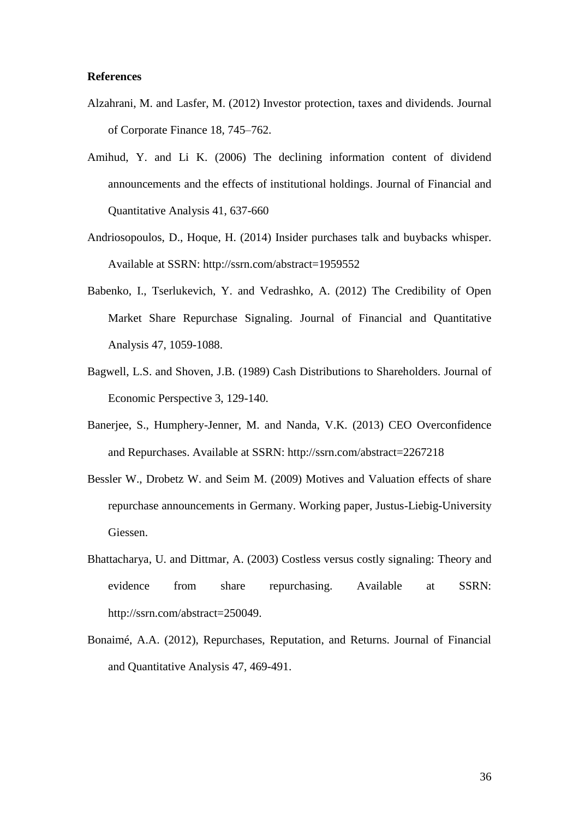### **References**

- Alzahrani, M. and Lasfer, M. (2012) Investor protection, taxes and dividends. Journal of Corporate Finance 18, 745–762.
- Amihud, Y. and Li K. (2006) The declining information content of dividend announcements and the effects of institutional holdings. Journal of Financial and Quantitative Analysis 41, 637-660
- Andriosopoulos, D., Hoque, H. (2014) Insider purchases talk and buybacks whisper. Available at SSRN: http://ssrn.com/abstract=1959552
- Babenko, I., Tserlukevich, Y. and Vedrashko, A. (2012) The Credibility of Open Market Share Repurchase Signaling. Journal of Financial and Quantitative Analysis 47, 1059-1088.
- Bagwell, L.S. and Shoven, J.B. (1989) Cash Distributions to Shareholders. Journal of Economic Perspective 3, 129-140.
- Banerjee, S., Humphery-Jenner, M. and Nanda, V.K. (2013) CEO Overconfidence and Repurchases. Available at SSRN: http://ssrn.com/abstract=2267218
- Bessler W., Drobetz W. and Seim M. (2009) Motives and Valuation effects of share repurchase announcements in Germany. Working paper, Justus-Liebig-University Giessen.
- Bhattacharya, U. and Dittmar, A. (2003) Costless versus costly signaling: Theory and evidence from share repurchasing. Available at SSRN: http://ssrn.com/abstract=250049.
- Bonaimé, A.A. (2012), Repurchases, Reputation, and Returns. Journal of Financial and Quantitative Analysis 47, 469-491.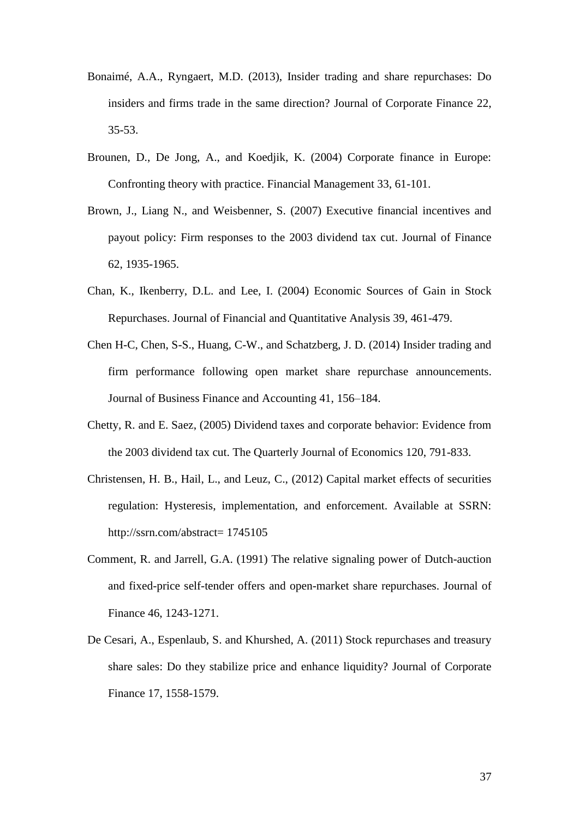- Bonaimé, A.A., Ryngaert, M.D. (2013), Insider trading and share repurchases: Do insiders and firms trade in the same direction? Journal of Corporate Finance 22, 35-53.
- Brounen, D., De Jong, A., and Koedjik, K. (2004) Corporate finance in Europe: Confronting theory with practice. Financial Management 33, 61-101.
- Brown, J., Liang N., and Weisbenner, S. (2007) Executive financial incentives and payout policy: Firm responses to the 2003 dividend tax cut. Journal of Finance 62, 1935-1965.
- Chan, K., Ikenberry, D.L. and Lee, I. (2004) Economic Sources of Gain in Stock Repurchases. Journal of Financial and Quantitative Analysis 39, 461-479.
- Chen H-C, Chen, S-S., Huang, C-W., and Schatzberg, J. D. (2014) Insider trading and firm performance following open market share repurchase announcements. Journal of Business Finance and Accounting 41, 156–184.
- Chetty, R. and E. Saez, (2005) Dividend taxes and corporate behavior: Evidence from the 2003 dividend tax cut. The Quarterly Journal of Economics 120, 791-833.
- Christensen, H. B., Hail, L., and Leuz, C., (2012) Capital market effects of securities regulation: Hysteresis, implementation, and enforcement. Available at SSRN: http://ssrn.com/abstract= 1745105
- Comment, R. and Jarrell, G.A. (1991) The relative signaling power of Dutch-auction and fixed-price self-tender offers and open-market share repurchases. Journal of Finance 46, 1243-1271.
- De Cesari, A., Espenlaub, S. and Khurshed, A. (2011) Stock repurchases and treasury share sales: Do they stabilize price and enhance liquidity? Journal of Corporate Finance 17, 1558-1579.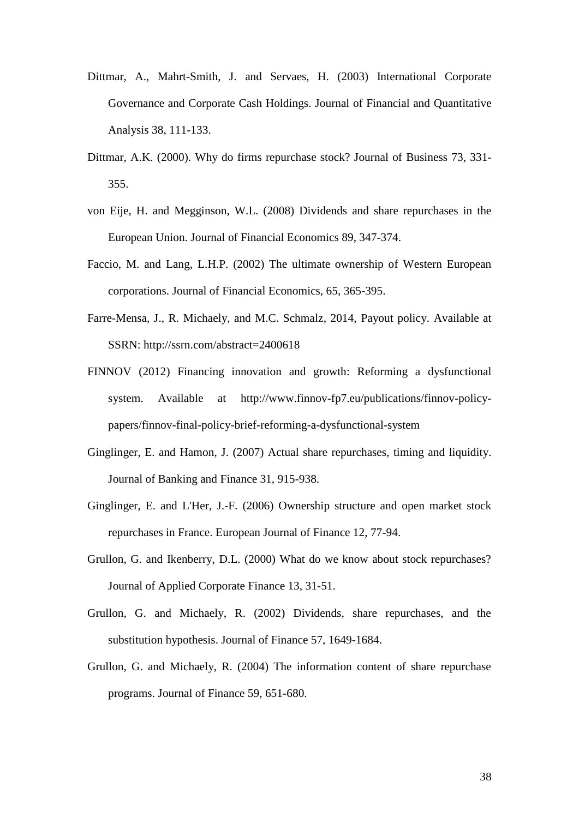- Dittmar, A., Mahrt-Smith, J. and Servaes, H. (2003) International Corporate Governance and Corporate Cash Holdings. Journal of Financial and Quantitative Analysis 38, 111-133.
- Dittmar, A.K. (2000). Why do firms repurchase stock? Journal of Business 73, 331- 355.
- von Eije, H. and Megginson, W.L. (2008) Dividends and share repurchases in the European Union. Journal of Financial Economics 89, 347-374.
- Faccio, M. and Lang, L.H.P. (2002) The ultimate ownership of Western European corporations. Journal of Financial Economics, 65, 365-395.
- Farre-Mensa, J., R. Michaely, and M.C. Schmalz, 2014, Payout policy. Available at SSRN: http://ssrn.com/abstract=2400618
- FINNOV (2012) Financing innovation and growth: Reforming a dysfunctional system. Available at http://www.finnov-fp7.eu/publications/finnov-policypapers/finnov-final-policy-brief-reforming-a-dysfunctional-system
- Ginglinger, E. and Hamon, J. (2007) Actual share repurchases, timing and liquidity. Journal of Banking and Finance 31, 915-938.
- Ginglinger, E. and L'Her, J.-F. (2006) Ownership structure and open market stock repurchases in France. European Journal of Finance 12, 77-94.
- Grullon, G. and Ikenberry, D.L. (2000) What do we know about stock repurchases? Journal of Applied Corporate Finance 13, 31-51.
- Grullon, G. and Michaely, R. (2002) Dividends, share repurchases, and the substitution hypothesis. Journal of Finance 57, 1649-1684.
- Grullon, G. and Michaely, R. (2004) The information content of share repurchase programs. Journal of Finance 59, 651-680.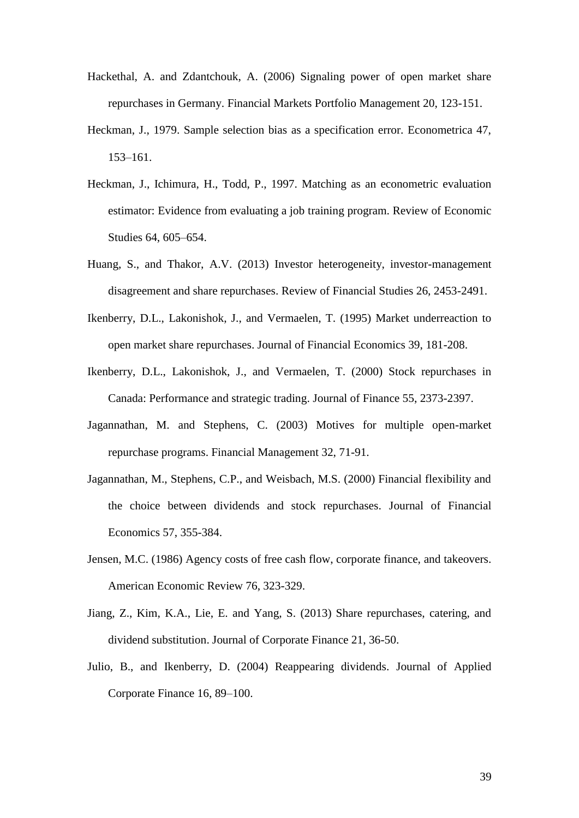- Hackethal, A. and Zdantchouk, A. (2006) Signaling power of open market share repurchases in Germany. Financial Markets Portfolio Management 20, 123-151.
- Heckman, J., 1979. Sample selection bias as a specification error. Econometrica 47, 153–161.
- Heckman, J., Ichimura, H., Todd, P., 1997. Matching as an econometric evaluation estimator: Evidence from evaluating a job training program. Review of Economic Studies 64, 605–654.
- Huang, S., and Thakor, A.V. (2013) Investor heterogeneity, investor-management disagreement and share repurchases. Review of Financial Studies 26, 2453-2491.
- Ikenberry, D.L., Lakonishok, J., and Vermaelen, T. (1995) Market underreaction to open market share repurchases. Journal of Financial Economics 39, 181-208.
- Ikenberry, D.L., Lakonishok, J., and Vermaelen, T. (2000) Stock repurchases in Canada: Performance and strategic trading. Journal of Finance 55, 2373-2397.
- Jagannathan, M. and Stephens, C. (2003) Motives for multiple open-market repurchase programs. Financial Management 32, 71-91.
- Jagannathan, M., Stephens, C.P., and Weisbach, M.S. (2000) Financial flexibility and the choice between dividends and stock repurchases. Journal of Financial Economics 57, 355-384.
- Jensen, M.C. (1986) Agency costs of free cash flow, corporate finance, and takeovers. American Economic Review 76, 323-329.
- Jiang, Z., Kim, K.A., Lie, E. and Yang, S. (2013) Share repurchases, catering, and dividend substitution. Journal of Corporate Finance 21, 36-50.
- Julio, B., and Ikenberry, D. (2004) Reappearing dividends. Journal of Applied Corporate Finance 16, 89–100.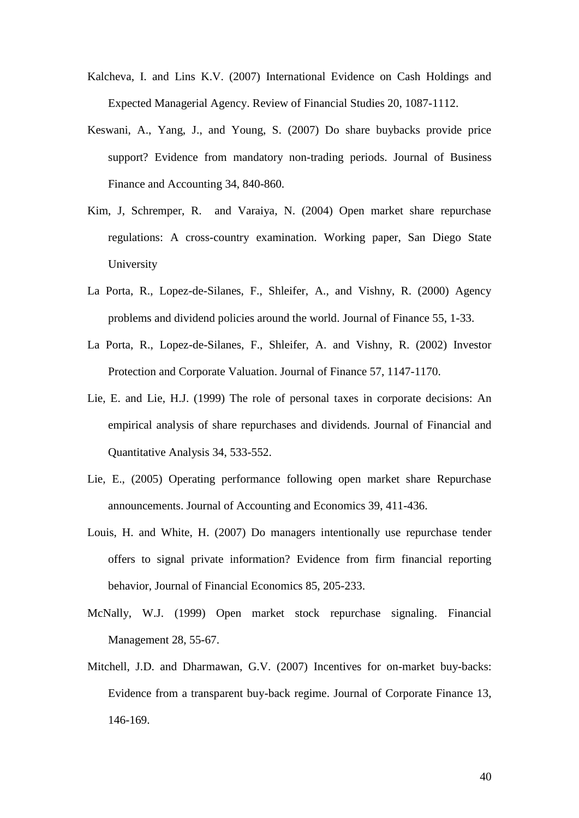- Kalcheva, I. and Lins K.V. (2007) International Evidence on Cash Holdings and Expected Managerial Agency. Review of Financial Studies 20, 1087-1112.
- Keswani, A., Yang, J., and Young, S. (2007) Do share buybacks provide price support? Evidence from mandatory non-trading periods. Journal of Business Finance and Accounting 34, 840-860.
- Kim, J, Schremper, R. and Varaiya, N. (2004) Open market share repurchase regulations: A cross-country examination. Working paper, San Diego State University
- La Porta, R., Lopez-de-Silanes, F., Shleifer, A., and Vishny, R. (2000) Agency problems and dividend policies around the world. Journal of Finance 55, 1-33.
- La Porta, R., Lopez-de-Silanes, F., Shleifer, A. and Vishny, R. (2002) Investor Protection and Corporate Valuation. Journal of Finance 57, 1147-1170.
- Lie, E. and Lie, H.J. (1999) The role of personal taxes in corporate decisions: An empirical analysis of share repurchases and dividends. Journal of Financial and Quantitative Analysis 34, 533-552.
- Lie, E., (2005) Operating performance following open market share Repurchase announcements. Journal of Accounting and Economics 39, 411-436.
- Louis, H. and White, H. (2007) Do managers intentionally use repurchase tender offers to signal private information? Evidence from firm financial reporting behavior, Journal of Financial Economics 85, 205-233.
- McNally, W.J. (1999) Open market stock repurchase signaling. Financial Management 28, 55-67.
- Mitchell, J.D. and Dharmawan, G.V. (2007) Incentives for on-market buy-backs: Evidence from a transparent buy-back regime. Journal of Corporate Finance 13, 146-169.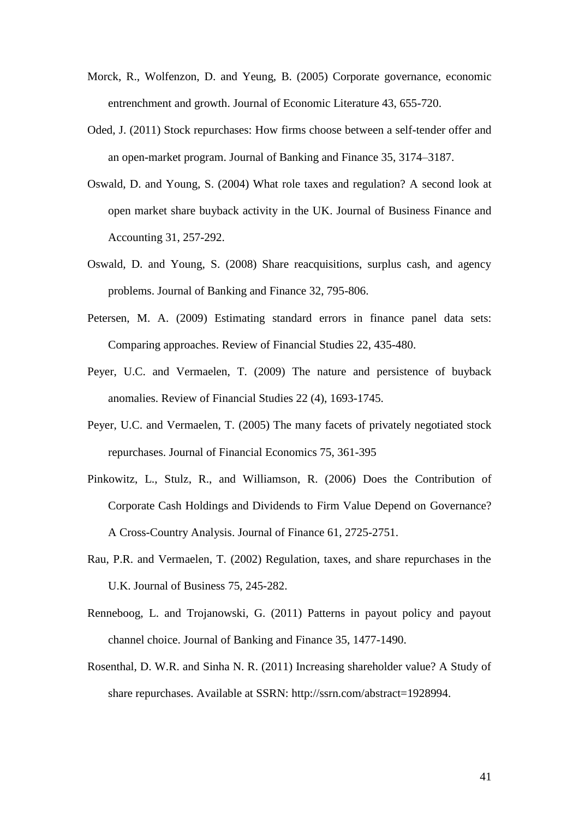- Morck, R., Wolfenzon, D. and Yeung, B. (2005) Corporate governance, economic entrenchment and growth. Journal of Economic Literature 43, 655-720.
- Oded, J. (2011) Stock repurchases: How firms choose between a self-tender offer and an open-market program. Journal of Banking and Finance 35, 3174–3187.
- Oswald, D. and Young, S. (2004) What role taxes and regulation? A second look at open market share buyback activity in the UK. Journal of Business Finance and Accounting 31, 257-292.
- Oswald, D. and Young, S. (2008) Share reacquisitions, surplus cash, and agency problems. Journal of Banking and Finance 32, 795-806.
- Petersen, M. A. (2009) Estimating standard errors in finance panel data sets: Comparing approaches. Review of Financial Studies 22, 435-480.
- Peyer, U.C. and Vermaelen, T. (2009) The nature and persistence of buyback anomalies. Review of Financial Studies 22 (4), 1693-1745.
- Peyer, U.C. and Vermaelen, T. (2005) The many facets of privately negotiated stock repurchases. Journal of Financial Economics 75, 361-395
- Pinkowitz, L., Stulz, R., and Williamson, R. (2006) Does the Contribution of Corporate Cash Holdings and Dividends to Firm Value Depend on Governance? A Cross-Country Analysis. Journal of Finance 61, 2725-2751.
- Rau, P.R. and Vermaelen, T. (2002) Regulation, taxes, and share repurchases in the U.K. Journal of Business 75, 245-282.
- Renneboog, L. and Trojanowski, G. (2011) Patterns in payout policy and payout channel choice. Journal of Banking and Finance 35, 1477-1490.
- Rosenthal, D. W.R. and Sinha N. R. (2011) Increasing shareholder value? A Study of share repurchases. Available at SSRN: http://ssrn.com/abstract=1928994.